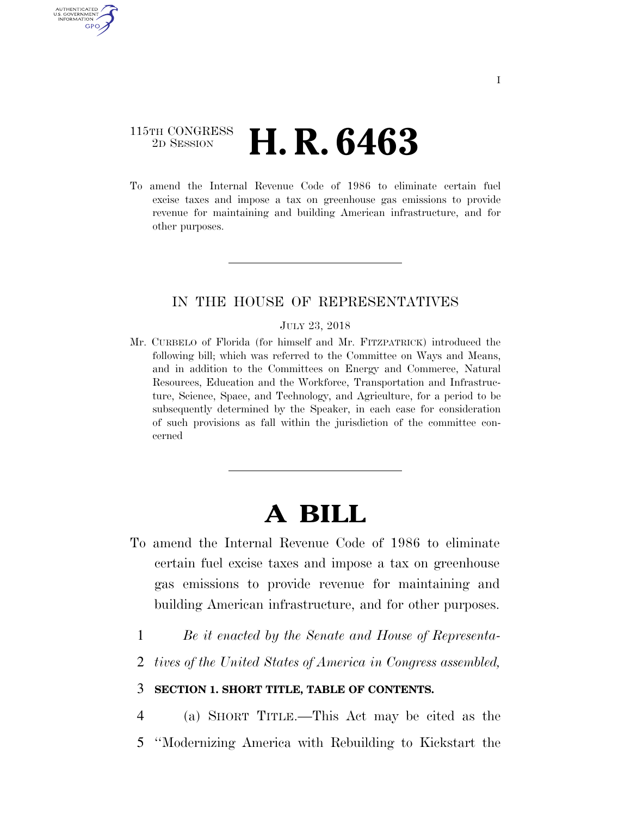### 115TH CONGRESS 2D SESSION **H. R. 6463**

AUTHENTICATED U.S. GOVERNMENT GPO

> To amend the Internal Revenue Code of 1986 to eliminate certain fuel excise taxes and impose a tax on greenhouse gas emissions to provide revenue for maintaining and building American infrastructure, and for other purposes.

#### IN THE HOUSE OF REPRESENTATIVES

#### JULY 23, 2018

Mr. CURBELO of Florida (for himself and Mr. FITZPATRICK) introduced the following bill; which was referred to the Committee on Ways and Means, and in addition to the Committees on Energy and Commerce, Natural Resources, Education and the Workforce, Transportation and Infrastructure, Science, Space, and Technology, and Agriculture, for a period to be subsequently determined by the Speaker, in each case for consideration of such provisions as fall within the jurisdiction of the committee concerned

# **A BILL**

- To amend the Internal Revenue Code of 1986 to eliminate certain fuel excise taxes and impose a tax on greenhouse gas emissions to provide revenue for maintaining and building American infrastructure, and for other purposes.
	- 1 *Be it enacted by the Senate and House of Representa-*
	- 2 *tives of the United States of America in Congress assembled,*

#### 3 **SECTION 1. SHORT TITLE, TABLE OF CONTENTS.**

4 (a) SHORT TITLE.—This Act may be cited as the 5 ''Modernizing America with Rebuilding to Kickstart the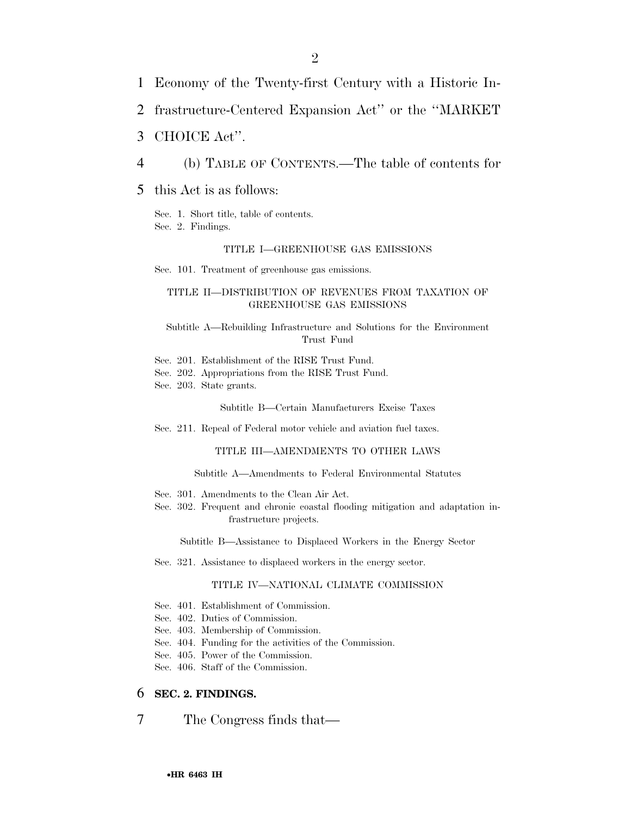- 1 Economy of the Twenty-first Century with a Historic In-
- 2 frastructure-Centered Expansion Act'' or the ''MARKET
- 3 CHOICE Act''.
- 4 (b) TABLE OF CONTENTS.—The table of contents for
- 5 this Act is as follows:

Sec. 1. Short title, table of contents. Sec. 2. Findings.

#### TITLE I—GREENHOUSE GAS EMISSIONS

Sec. 101. Treatment of greenhouse gas emissions.

#### TITLE II—DISTRIBUTION OF REVENUES FROM TAXATION OF GREENHOUSE GAS EMISSIONS

Subtitle A—Rebuilding Infrastructure and Solutions for the Environment Trust Fund

- Sec. 201. Establishment of the RISE Trust Fund.
- Sec. 202. Appropriations from the RISE Trust Fund.

Sec. 203. State grants.

Subtitle B—Certain Manufacturers Excise Taxes

Sec. 211. Repeal of Federal motor vehicle and aviation fuel taxes.

#### TITLE III—AMENDMENTS TO OTHER LAWS

Subtitle A—Amendments to Federal Environmental Statutes

- Sec. 301. Amendments to the Clean Air Act.
- Sec. 302. Frequent and chronic coastal flooding mitigation and adaptation infrastructure projects.

Subtitle B—Assistance to Displaced Workers in the Energy Sector

Sec. 321. Assistance to displaced workers in the energy sector.

#### TITLE IV—NATIONAL CLIMATE COMMISSION

- Sec. 401. Establishment of Commission.
- Sec. 402. Duties of Commission.
- Sec. 403. Membership of Commission.
- Sec. 404. Funding for the activities of the Commission.
- Sec. 405. Power of the Commission.
- Sec. 406. Staff of the Commission.

#### 6 **SEC. 2. FINDINGS.**

7 The Congress finds that—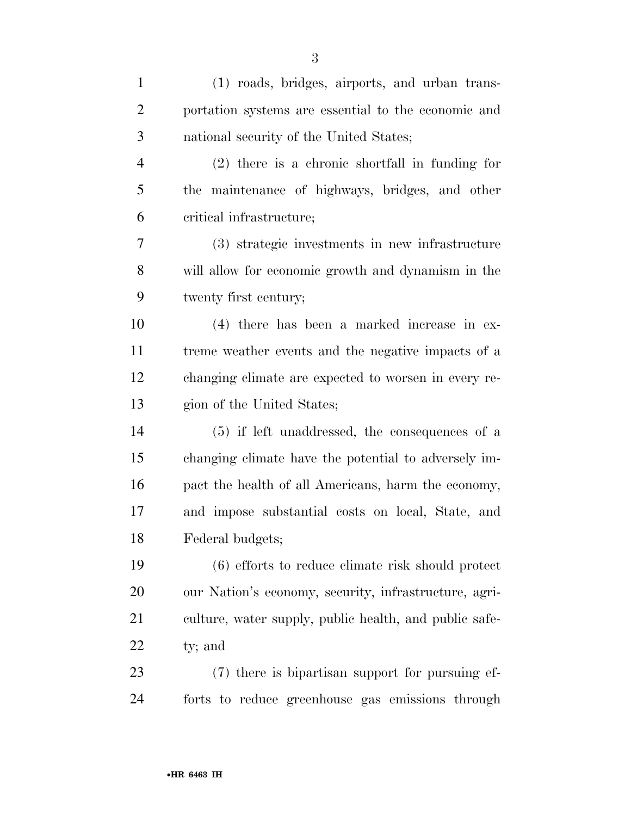| $\mathbf{1}$   | (1) roads, bridges, airports, and urban trans-         |
|----------------|--------------------------------------------------------|
| $\overline{2}$ | portation systems are essential to the economic and    |
| 3              | national security of the United States;                |
| 4              | $(2)$ there is a chronic shortfall in funding for      |
| 5              | the maintenance of highways, bridges, and other        |
| 6              | critical infrastructure;                               |
| 7              | (3) strategic investments in new infrastructure        |
| 8              | will allow for economic growth and dynamism in the     |
| 9              | twenty first century;                                  |
| 10             | (4) there has been a marked increase in ex-            |
| 11             | treme weather events and the negative impacts of a     |
| 12             | changing climate are expected to worsen in every re-   |
| 13             | gion of the United States;                             |
| 14             | $(5)$ if left unaddressed, the consequences of a       |
| 15             | changing climate have the potential to adversely im-   |
| 16             | pact the health of all Americans, harm the economy,    |
| 17             | and impose substantial costs on local, State, and      |
| 18             | Federal budgets;                                       |
| 19             | (6) efforts to reduce climate risk should protect      |
| 20             | our Nation's economy, security, infrastructure, agri-  |
| 21             | culture, water supply, public health, and public safe- |
| 22             | ty; and                                                |
| 23             | (7) there is bipartisan support for pursuing ef-       |
| 24             | forts to reduce greenhouse gas emissions through       |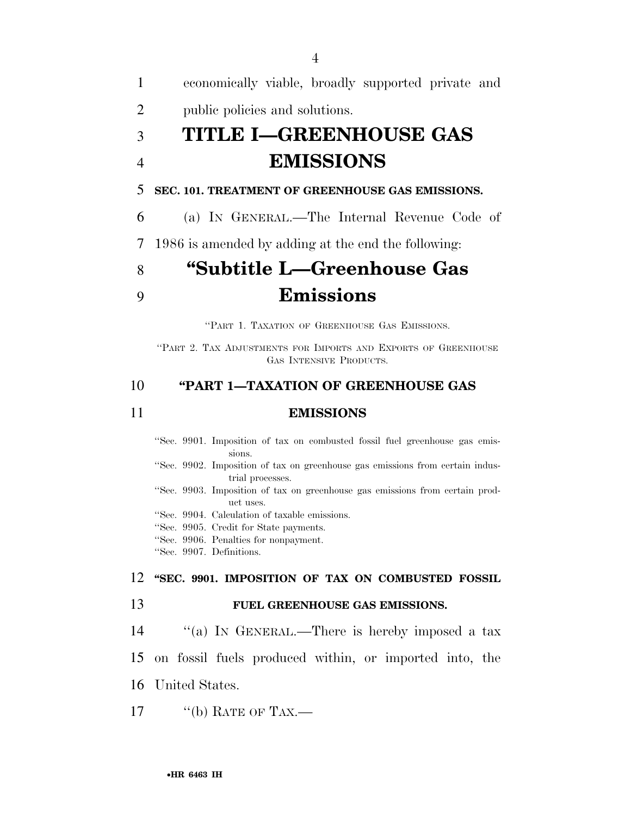economically viable, broadly supported private and public policies and solutions. **TITLE I—GREENHOUSE GAS EMISSIONS SEC. 101. TREATMENT OF GREENHOUSE GAS EMISSIONS.**  (a) IN GENERAL.—The Internal Revenue Code of 1986 is amended by adding at the end the following: **''Subtitle L—Greenhouse Gas** 

# 9 **Emissions**

''PART 1. TAXATION OF GREENHOUSE GAS EMISSIONS.

''PART 2. TAX ADJUSTMENTS FOR IMPORTS AND EXPORTS OF GREENHOUSE GAS INTENSIVE PRODUCTS.

#### 10 **''PART 1—TAXATION OF GREENHOUSE GAS**

#### 11 **EMISSIONS**

''Sec. 9901. Imposition of tax on combusted fossil fuel greenhouse gas emissions. ''Sec. 9902. Imposition of tax on greenhouse gas emissions from certain industrial processes. ''Sec. 9903. Imposition of tax on greenhouse gas emissions from certain product uses. ''Sec. 9904. Calculation of taxable emissions. ''Sec. 9905. Credit for State payments. ''Sec. 9906. Penalties for nonpayment. ''Sec. 9907. Definitions. 12 **''SEC. 9901. IMPOSITION OF TAX ON COMBUSTED FOSSIL**  13 **FUEL GREENHOUSE GAS EMISSIONS.** 

- 14 "(a) In GENERAL.—There is hereby imposed a tax
- 15 on fossil fuels produced within, or imported into, the
- 16 United States.
- 17  $\qquad$  "(b) RATE OF TAX.—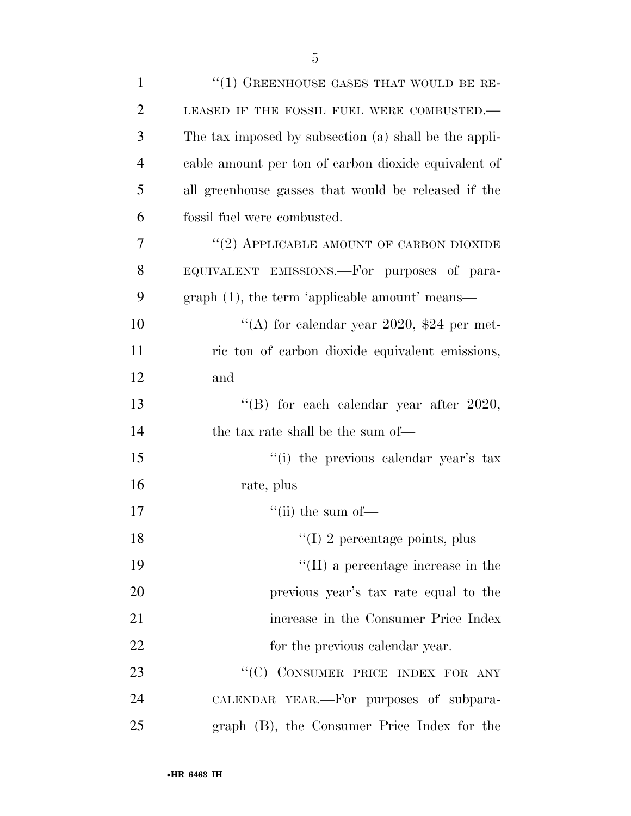| $\mathbf{1}$   | $``(1)$ GREENHOUSE GASES THAT WOULD BE RE-            |
|----------------|-------------------------------------------------------|
| $\overline{2}$ | LEASED IF THE FOSSIL FUEL WERE COMBUSTED.-            |
| 3              | The tax imposed by subsection (a) shall be the appli- |
| $\overline{4}$ | cable amount per ton of carbon dioxide equivalent of  |
| 5              | all greenhouse gasses that would be released if the   |
| 6              | fossil fuel were combusted.                           |
| 7              | "(2) APPLICABLE AMOUNT OF CARBON DIOXIDE              |
| 8              | EQUIVALENT EMISSIONS.—For purposes of para-           |
| 9              | graph (1), the term 'applicable amount' means—        |
| 10             | "(A) for calendar year 2020, \$24 per met-            |
| 11             | ric ton of carbon dioxide equivalent emissions,       |
| 12             | and                                                   |
| 13             | "(B) for each calendar year after $2020$ ,            |
| 14             | the tax rate shall be the sum of—                     |
| 15             | "(i) the previous calendar year's tax                 |
| 16             | rate, plus                                            |
| 17             | "(ii) the sum of $-$                                  |
| 18             | $\lq(1)$ 2 percentage points, plus                    |
| 19             | $\lq\lq$ (II) a percentage increase in the            |
| 20             | previous year's tax rate equal to the                 |
| 21             | increase in the Consumer Price Index                  |
| 22             | for the previous calendar year.                       |
| 23             | "(C) CONSUMER PRICE INDEX FOR ANY                     |
| 24             | CALENDAR YEAR.—For purposes of subpara-               |
| 25             | graph (B), the Consumer Price Index for the           |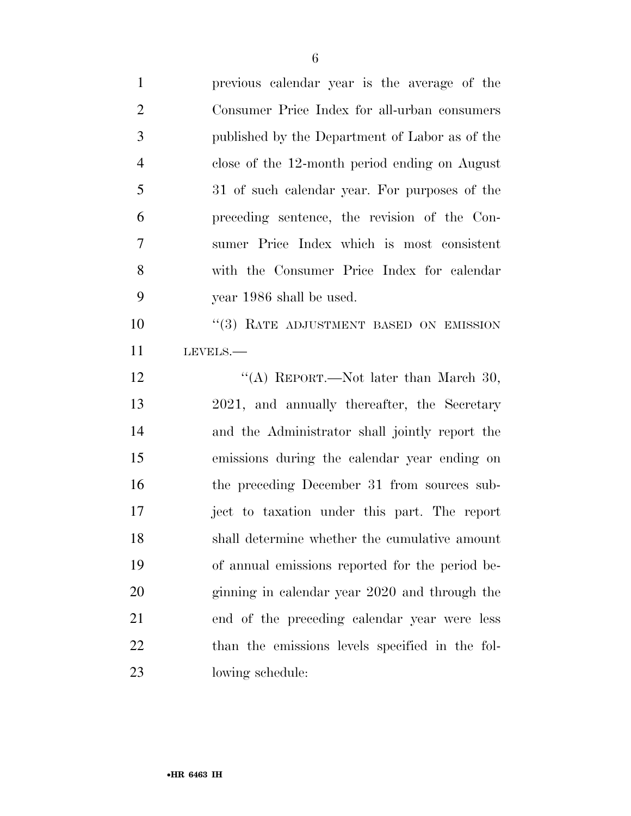| $\mathbf{1}$   | previous calendar year is the average of the    |
|----------------|-------------------------------------------------|
| $\overline{2}$ | Consumer Price Index for all-urban consumers    |
| 3              | published by the Department of Labor as of the  |
| $\overline{4}$ | close of the 12-month period ending on August   |
| 5              | 31 of such calendar year. For purposes of the   |
| 6              | preceding sentence, the revision of the Con-    |
| 7              | sumer Price Index which is most consistent      |
| 8              | with the Consumer Price Index for calendar      |
| 9              | year 1986 shall be used.                        |
| 10             | "(3) RATE ADJUSTMENT BASED ON EMISSION          |
| 11             | LEVELS.-                                        |
| 12             | "(A) REPORT.—Not later than March 30,           |
| 13             | 2021, and annually thereafter, the Secretary    |
| 14             | and the Administrator shall jointly report the  |
| 15             | emissions during the calendar year ending on    |
| 16             | the preceding December 31 from sources sub-     |
| 17             | ject to taxation under this part. The report    |
| 18             | shall determine whether the cumulative amount   |
| 19             | of annual emissions reported for the period be- |
| 20             | ginning in calendar year 2020 and through the   |
| 21             | end of the preceding calendar year were less    |
| 22             | than the emissions levels specified in the fol- |
| 23             | lowing schedule:                                |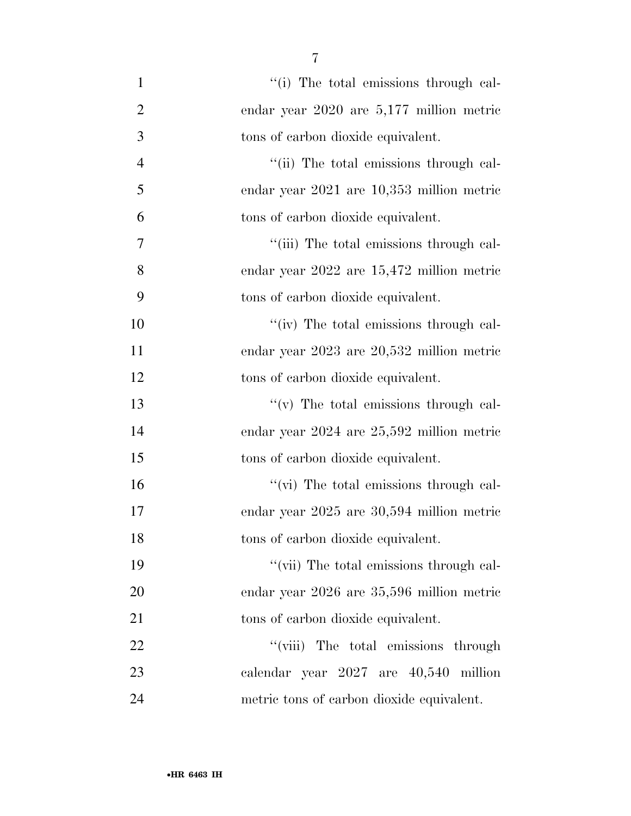| $\mathbf{1}$   | "(i) The total emissions through cal-         |
|----------------|-----------------------------------------------|
| $\overline{2}$ | endar year $2020$ are $5,177$ million metric  |
| 3              | tons of carbon dioxide equivalent.            |
| $\overline{4}$ | "(ii) The total emissions through cal-        |
| 5              | endar year 2021 are 10,353 million metric     |
| 6              | tons of carbon dioxide equivalent.            |
| 7              | "(iii) The total emissions through cal-       |
| 8              | endar year $2022$ are $15,472$ million metric |
| 9              | tons of carbon dioxide equivalent.            |
| 10             | "(iv) The total emissions through cal-        |
| 11             | endar year 2023 are 20,532 million metric     |
| 12             | tons of carbon dioxide equivalent.            |
| 13             | $f'(v)$ The total emissions through cal-      |
| 14             | endar year $2024$ are $25,592$ million metric |
| 15             | tons of carbon dioxide equivalent.            |
| 16             | "(vi) The total emissions through cal-        |
| 17             | endar year 2025 are 30,594 million metric     |
| 18             | tons of carbon dioxide equivalent.            |
| 19             | "(vii) The total emissions through cal-       |
| 20             | endar year 2026 are 35,596 million metric     |
| 21             | tons of carbon dioxide equivalent.            |
| <u>22</u>      | "(viii) The total emissions through           |
| 23             | calendar year 2027 are 40,540 million         |
| 24             | metric tons of carbon dioxide equivalent.     |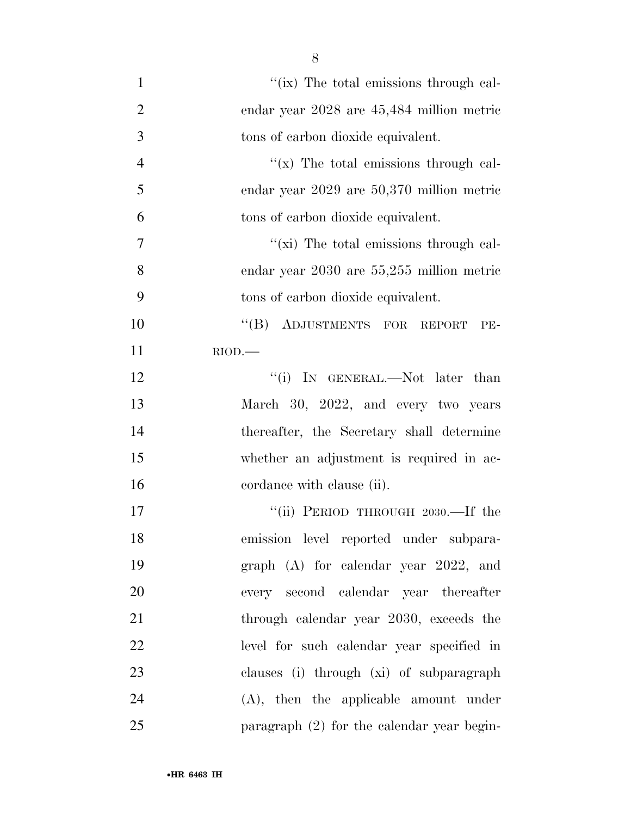| $\mathbf{1}$   | "(ix) The total emissions through cal-        |
|----------------|-----------------------------------------------|
| $\overline{2}$ | endar year 2028 are 45,484 million metric     |
| 3              | tons of carbon dioxide equivalent.            |
| $\overline{4}$ | " $(x)$ The total emissions through cal-      |
| 5              | endar year 2029 are 50,370 million metric     |
| 6              | tons of carbon dioxide equivalent.            |
| $\tau$         | "(xi) The total emissions through cal-        |
| 8              | endar year $2030$ are $55,255$ million metric |
| 9              | tons of carbon dioxide equivalent.            |
| 10             | "(B) ADJUSTMENTS FOR REPORT<br>PE-            |
| 11             | $RIOD$ .                                      |
| 12             | "(i) IN GENERAL.—Not later than               |
| 13             | March 30, 2022, and every two years           |
| 14             | thereafter, the Secretary shall determine     |
| 15             | whether an adjustment is required in ac-      |
| 16             | cordance with clause (ii).                    |
| 17             | "(ii) PERIOD THROUGH 2030.—If the             |
| 18             | emission level reported under subpara-        |
| 19             | graph (A) for calendar year 2022, and         |
| 20             | every second calendar year thereafter         |
| 21             | through calendar year 2030, exceeds the       |
| 22             | level for such calendar year specified in     |
| 23             | clauses (i) through (xi) of subparagraph      |
| 24             | $(A)$ , then the applicable amount under      |
| 25             | paragraph $(2)$ for the calendar year begin-  |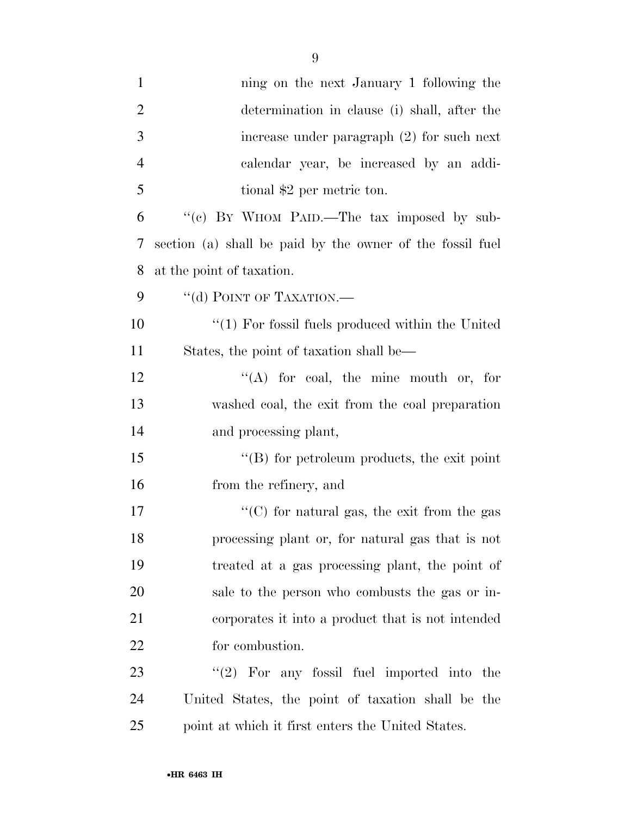| $\mathbf{1}$   | ning on the next January 1 following the                  |
|----------------|-----------------------------------------------------------|
| $\overline{2}$ | determination in clause (i) shall, after the              |
| 3              | increase under paragraph $(2)$ for such next              |
| $\overline{4}$ | calendar year, be increased by an addi-                   |
| 5              | tional \$2 per metric ton.                                |
| 6              | "(c) BY WHOM PAID.—The tax imposed by sub-                |
| $\tau$         | section (a) shall be paid by the owner of the fossil fuel |
| 8              | at the point of taxation.                                 |
| 9              | "(d) POINT OF TAXATION.—                                  |
| 10             | $"(1)$ For fossil fuels produced within the United        |
| 11             | States, the point of taxation shall be—                   |
| 12             | "(A) for coal, the mine mouth or, for                     |
| 13             | washed coal, the exit from the coal preparation           |
| 14             | and processing plant,                                     |
| 15             | $\lq\lq$ for petroleum products, the exit point           |
| 16             | from the refinery, and                                    |
| 17             | "(C) for natural gas, the exit from the gas               |
| 18             | processing plant or, for natural gas that is not          |
| 19             | treated at a gas processing plant, the point of           |
| 20             | sale to the person who combusts the gas or in-            |
| 21             | corporates it into a product that is not intended         |
| 22             | for combustion.                                           |
| 23             | $\lq(2)$ For any fossil fuel imported into the            |
| 24             | United States, the point of taxation shall be the         |
| 25             | point at which it first enters the United States.         |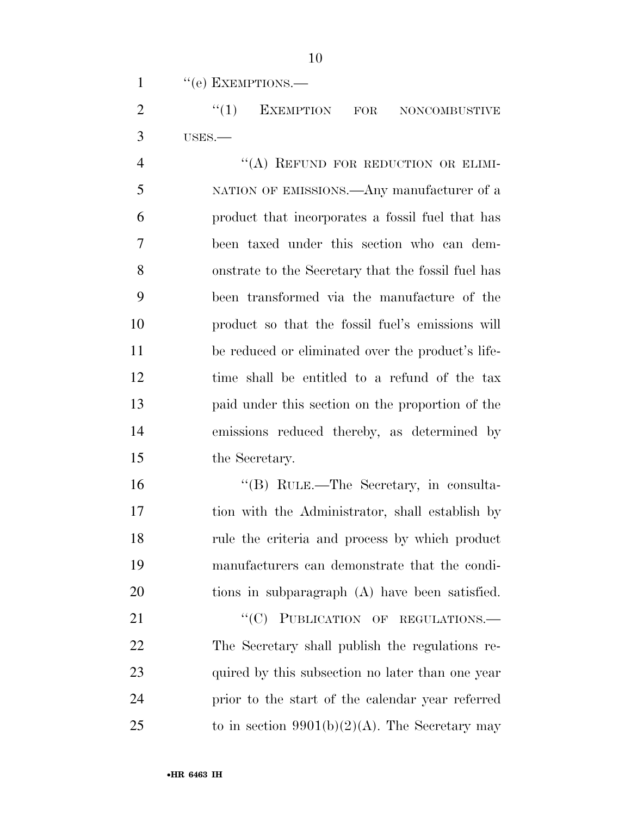1 "(e) EXEMPTIONS.—

2 "(1) EXEMPTION FOR NONCOMBUSTIVE USES.—

4 "(A) REFUND FOR REDUCTION OR ELIMI- NATION OF EMISSIONS.—Any manufacturer of a product that incorporates a fossil fuel that has been taxed under this section who can dem- onstrate to the Secretary that the fossil fuel has been transformed via the manufacture of the product so that the fossil fuel's emissions will be reduced or eliminated over the product's life- time shall be entitled to a refund of the tax paid under this section on the proportion of the emissions reduced thereby, as determined by the Secretary.

 ''(B) RULE.—The Secretary, in consulta- tion with the Administrator, shall establish by rule the criteria and process by which product manufacturers can demonstrate that the condi-tions in subparagraph (A) have been satisfied.

21 "
(C) PUBLICATION OF REGULATIONS. The Secretary shall publish the regulations re-23 quired by this subsection no later than one year prior to the start of the calendar year referred 25 to in section  $9901(b)(2)(A)$ . The Secretary may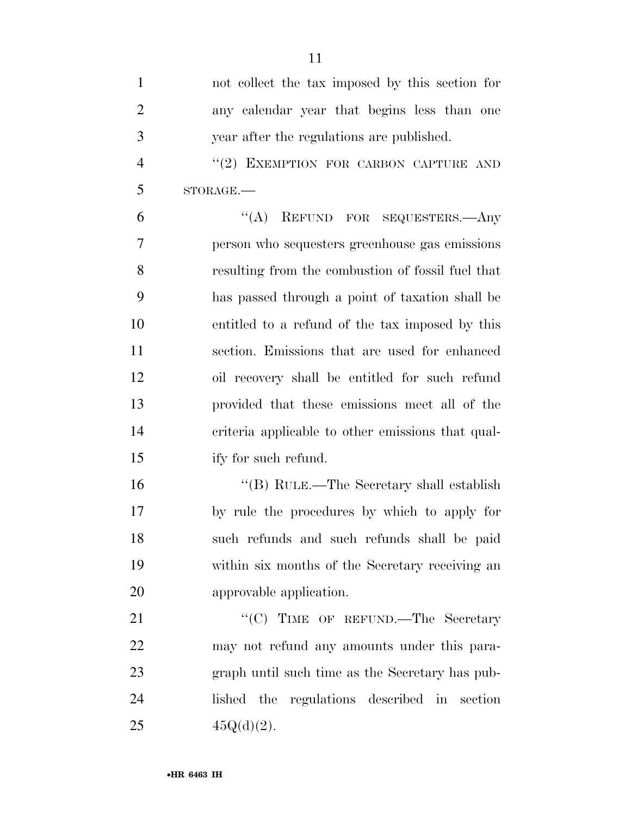| $\mathbf{1}$   | not collect the tax imposed by this section for   |
|----------------|---------------------------------------------------|
| $\overline{2}$ | any calendar year that begins less than one       |
| 3              | year after the regulations are published.         |
| $\overline{4}$ | "(2) EXEMPTION FOR CARBON CAPTURE AND             |
| 5              | STORAGE.-                                         |
| 6              | REFUND FOR SEQUESTERS.—Any<br>$\lq\lq (A)$        |
| 7              | person who sequesters greenhouse gas emissions    |
| 8              | resulting from the combustion of fossil fuel that |
| 9              | has passed through a point of taxation shall be   |
| 10             | entitled to a refund of the tax imposed by this   |
| 11             | section. Emissions that are used for enhanced     |
| 12             | oil recovery shall be entitled for such refund    |
| 13             | provided that these emissions meet all of the     |
| 14             | criteria applicable to other emissions that qual- |
| 15             | ify for such refund.                              |
| 16             | "(B) RULE.—The Secretary shall establish          |
| 17             | by rule the procedures by which to apply for      |
| 18             | such refunds and such refunds shall be paid       |
| 19             | within six months of the Secretary receiving an   |
| 20             | approvable application.                           |
| 21             | "(C) TIME OF REFUND.—The Secretary                |
| 22             | may not refund any amounts under this para-       |
| 23             | graph until such time as the Secretary has pub-   |
| 24             | lished the regulations described in section       |
| 25             | $45Q(d)(2)$ .                                     |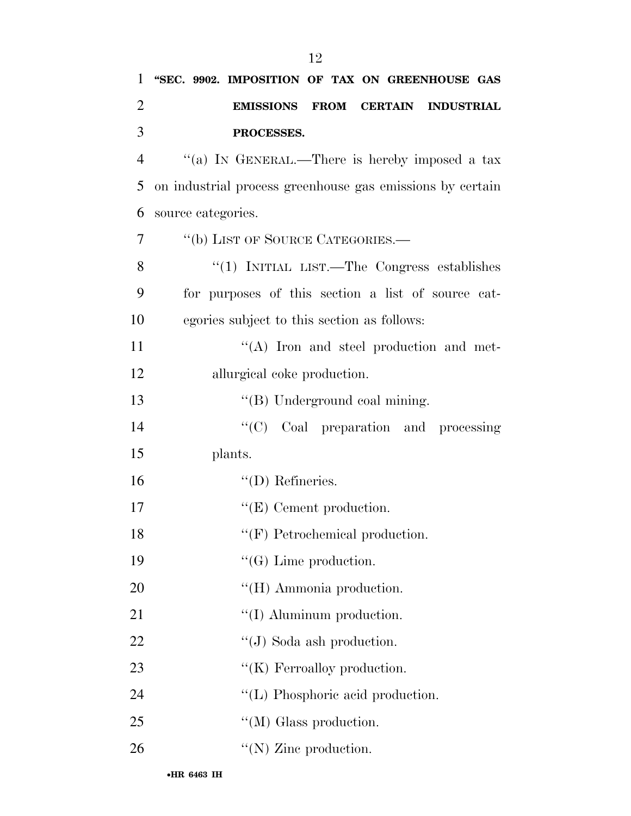| $\mathbf{1}$   | "SEC. 9902. IMPOSITION OF TAX ON GREENHOUSE GAS           |
|----------------|-----------------------------------------------------------|
| $\overline{2}$ | FROM CERTAIN INDUSTRIAL<br><b>EMISSIONS</b>               |
| 3              | PROCESSES.                                                |
| $\overline{4}$ | "(a) IN GENERAL.—There is hereby imposed a tax            |
| 5              | on industrial process greenhouse gas emissions by certain |
| 6              | source categories.                                        |
| 7              | "(b) LIST OF SOURCE CATEGORIES.—                          |
| 8              | "(1) INITIAL LIST.—The Congress establishes               |
| 9              | for purposes of this section a list of source cat-        |
| 10             | egories subject to this section as follows:               |
| 11             | $\lq\lq$ . Iron and steel production and met-             |
| 12             | allurgical coke production.                               |
| 13             | "(B) Underground coal mining.                             |
| 14             | "(C) Coal preparation and processing                      |
| 15             | plants.                                                   |
| 16             | $\lq\lq$ (D) Refineries.                                  |
| 17             | $\lq\lq(E)$ Cement production.                            |
| 18             | $``$ (F) Petrochemical production.                        |
| 19             | $\lq\lq(G)$ Lime production.                              |
| 20             | "(H) Ammonia production.                                  |
| 21             | "(I) Aluminum production.                                 |
| 22             | $\lq\lq$ (J) Soda ash production.                         |
| 23             | " $(K)$ Ferroalloy production.                            |
| 24             | $\lq\lq$ (L) Phosphoric acid production.                  |
| 25             | $\lq\lq (M)$ Glass production.                            |
| 26             | "(N) Zinc production.                                     |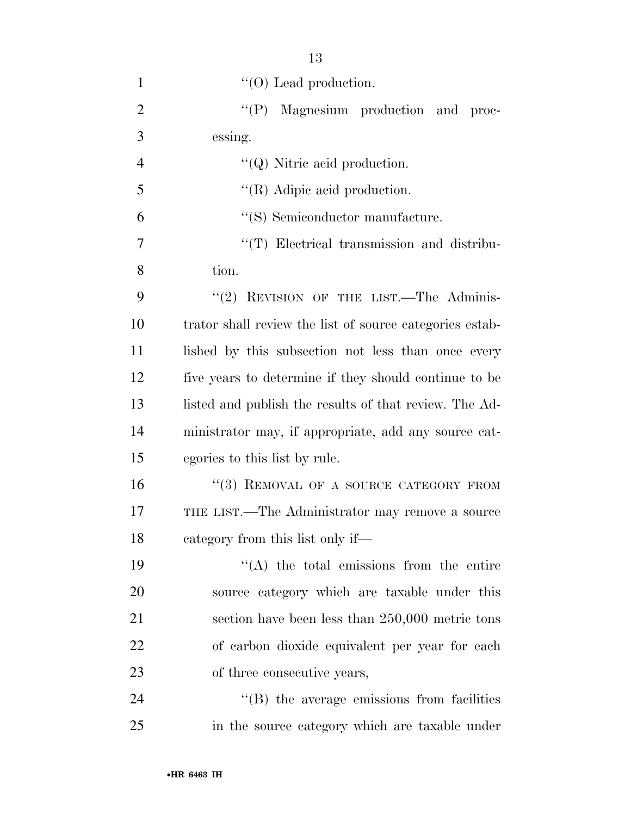| $\mathbf{1}$   | $\lq\lq$ (O) Lead production.                            |
|----------------|----------------------------------------------------------|
| $\overline{2}$ | "(P) Magnesium production and proc-                      |
| 3              | essing.                                                  |
| $\overline{4}$ | $\lq\lq Q$ ) Nitric acid production.                     |
| 5              | $\lq\lq$ (R) Adipic acid production.                     |
| 6              | "(S) Semiconductor manufacture.                          |
| 7              | "(T) Electrical transmission and distribu-               |
| 8              | tion.                                                    |
| 9              | "(2) REVISION OF THE LIST.—The Adminis-                  |
| 10             | trator shall review the list of source categories estab- |
| 11             | lished by this subsection not less than once every       |
| 12             | five years to determine if they should continue to be    |
| 13             | listed and publish the results of that review. The Ad-   |
| 14             | ministrator may, if appropriate, add any source cat-     |
| 15             | egories to this list by rule.                            |
| 16             | "(3) REMOVAL OF A SOURCE CATEGORY FROM                   |
| 17             | THE LIST.—The Administrator may remove a source          |
| 18             | category from this list only if—                         |
| 19             | $\lq\lq$ the total emissions from the entire             |
| 20             | source category which are taxable under this             |
| 21             | section have been less than $250,000$ metric tons        |
| 22             | of carbon dioxide equivalent per year for each           |
| 23             | of three consecutive years,                              |
| 24             | $\lq\lq$ the average emissions from facilities           |
| 25             | in the source category which are taxable under           |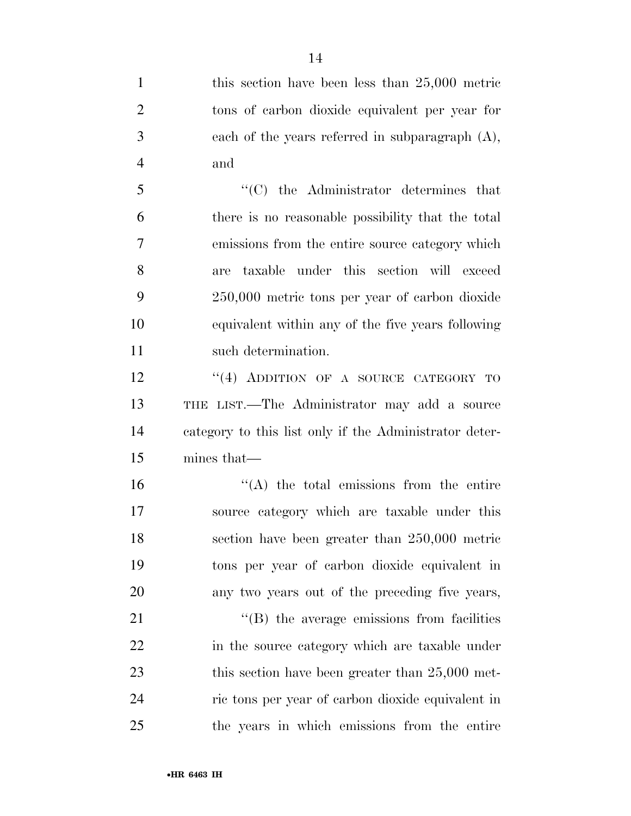1 this section have been less than 25,000 metric tons of carbon dioxide equivalent per year for each of the years referred in subparagraph (A), and ''(C) the Administrator determines that there is no reasonable possibility that the total emissions from the entire source category which are taxable under this section will exceed 250,000 metric tons per year of carbon dioxide equivalent within any of the five years following such determination. 12 "(4) ADDITION OF A SOURCE CATEGORY TO THE LIST.—The Administrator may add a source category to this list only if the Administrator deter- mines that—  $(4)$  the total emissions from the entire source category which are taxable under this section have been greater than 250,000 metric tons per year of carbon dioxide equivalent in any two years out of the preceding five years,  $\langle (B)$  the average emissions from facilities 22 in the source category which are taxable under 23 this section have been greater than 25,000 met- ric tons per year of carbon dioxide equivalent in the years in which emissions from the entire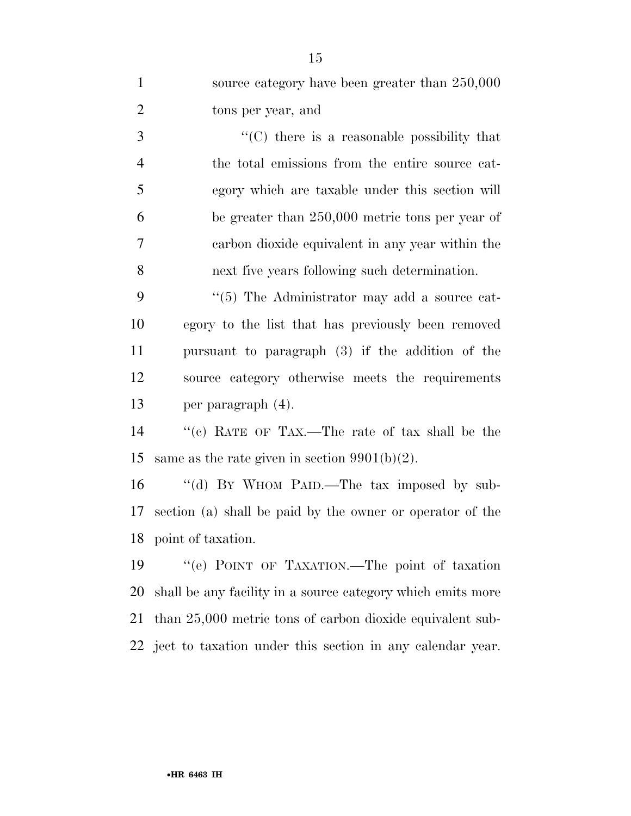| $\mathbf{1}$   | source category have been greater than 250,000              |
|----------------|-------------------------------------------------------------|
| $\overline{2}$ | tons per year, and                                          |
| 3              | $\cdot\cdot$ (C) there is a reasonable possibility that     |
| $\overline{4}$ | the total emissions from the entire source cat-             |
| 5              | egory which are taxable under this section will             |
| 6              | be greater than 250,000 metric tons per year of             |
| $\tau$         | carbon dioxide equivalent in any year within the            |
| 8              | next five years following such determination.               |
| 9              | "(5) The Administrator may add a source cat-                |
| 10             | egory to the list that has previously been removed          |
| 11             | pursuant to paragraph (3) if the addition of the            |
| 12             | source category otherwise meets the requirements            |
| 13             | per paragraph (4).                                          |
| 14             | "(c) RATE OF TAX.—The rate of tax shall be the              |
| 15             | same as the rate given in section $9901(b)(2)$ .            |
| 16             | "(d) BY WHOM PAID.—The tax imposed by sub-                  |
| 17             | section (a) shall be paid by the owner or operator of the   |
|                | 18 point of taxation.                                       |
| 19             | "(e) POINT OF TAXATION.—The point of taxation               |
| 20             | shall be any facility in a source category which emits more |
| 21             | than $25,000$ metric tons of carbon dioxide equivalent sub- |

ject to taxation under this section in any calendar year.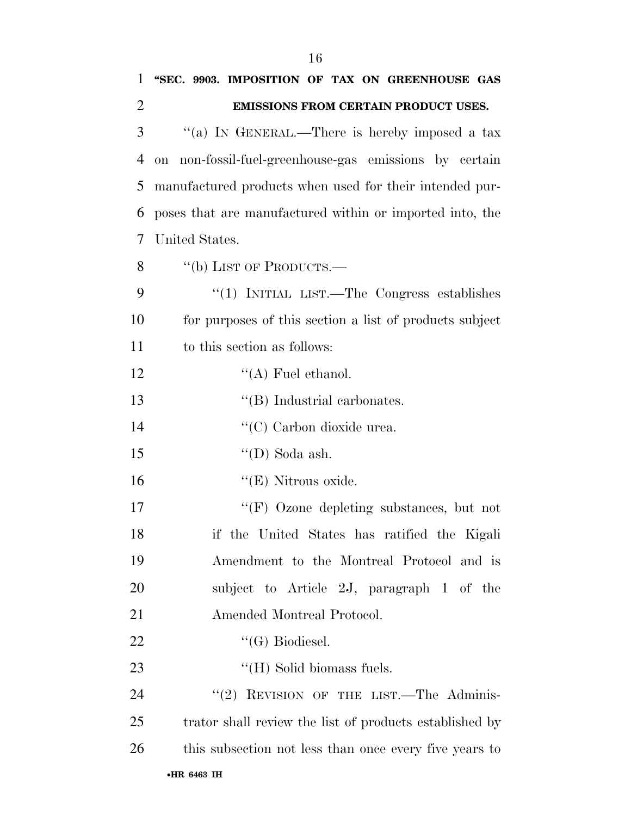| 1              | "SEC. 9903. IMPOSITION OF TAX ON GREENHOUSE GAS          |
|----------------|----------------------------------------------------------|
| $\overline{2}$ | EMISSIONS FROM CERTAIN PRODUCT USES.                     |
| 3              | "(a) IN GENERAL.—There is hereby imposed a tax           |
| $\overline{4}$ | on non-fossil-fuel-greenhouse-gas emissions by certain   |
| 5              | manufactured products when used for their intended pur-  |
| 6              | poses that are manufactured within or imported into, the |
| 7              | United States.                                           |
| 8              | "(b) LIST OF PRODUCTS.—                                  |
| 9              | "(1) INITIAL LIST.—The Congress establishes              |
| 10             | for purposes of this section a list of products subject  |
| 11             | to this section as follows:                              |
| 12             | $\lq\lq$ Fuel ethanol.                                   |
| 13             | $\lq\lq$ (B) Industrial carbonates.                      |
| 14             | "(C) Carbon dioxide urea.                                |
| 15             | "(D) Soda ash.                                           |
| 16             | $\lq\lq(E)$ Nitrous oxide.                               |
| 17             | "(F) Ozone depleting substances, but not                 |
| 18             | if the United States has ratified the Kigali             |
| 19             | Amendment to the Montreal Protocol and is                |
| 20             | subject to Article 2J, paragraph 1 of the                |
| 21             | Amended Montreal Protocol.                               |
| 22             | $\lq\lq(G)$ Biodiesel.                                   |
| 23             | "(H) Solid biomass fuels.                                |
| 24             | "(2) REVISION OF THE LIST.—The Adminis-                  |
| 25             | trator shall review the list of products established by  |
| 26             | this subsection not less than once every five years to   |
|                |                                                          |

#### •**HR 6463 IH**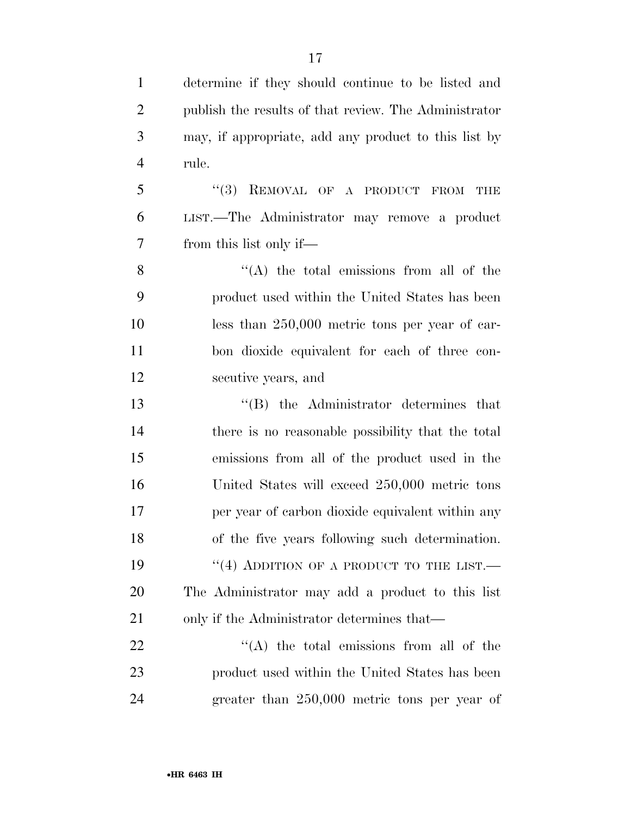determine if they should continue to be listed and publish the results of that review. The Administrator may, if appropriate, add any product to this list by rule. 5 "(3) REMOVAL OF A PRODUCT FROM THE LIST.—The Administrator may remove a product from this list only if—  $"({\rm A})$  the total emissions from all of the product used within the United States has been less than 250,000 metric tons per year of car- bon dioxide equivalent for each of three con- secutive years, and ''(B) the Administrator determines that there is no reasonable possibility that the total emissions from all of the product used in the United States will exceed 250,000 metric tons per year of carbon dioxide equivalent within any of the five years following such determination. 19 "(4) ADDITION OF A PRODUCT TO THE LIST.— The Administrator may add a product to this list 21 only if the Administrator determines that—  $\langle (A)$  the total emissions from all of the product used within the United States has been

greater than 250,000 metric tons per year of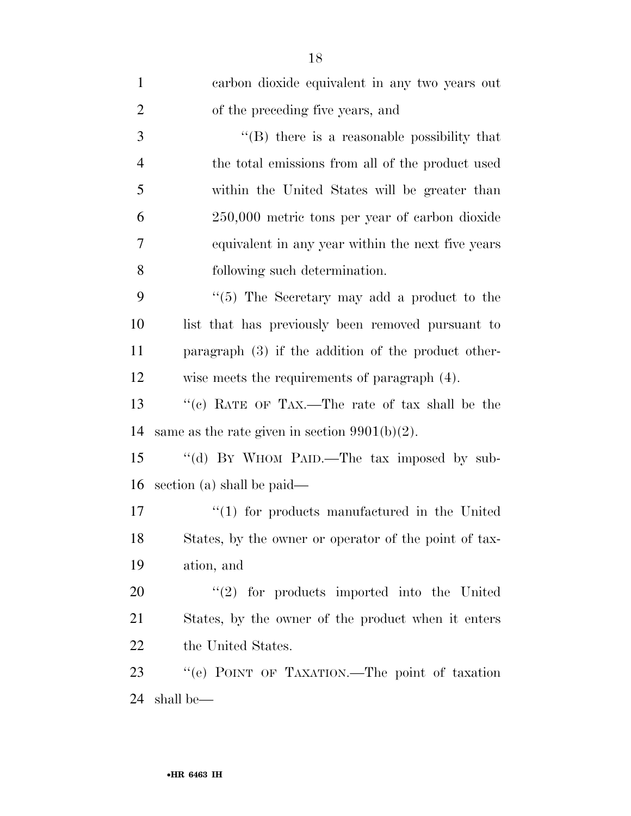| $\mathbf{1}$   | carbon dioxide equivalent in any two years out        |
|----------------|-------------------------------------------------------|
| $\overline{2}$ | of the preceding five years, and                      |
| 3              | "(B) there is a reasonable possibility that           |
| $\overline{4}$ | the total emissions from all of the product used      |
| 5              | within the United States will be greater than         |
| 6              | $250,000$ metric tons per year of carbon dioxide      |
| 7              | equivalent in any year within the next five years     |
| 8              | following such determination.                         |
| 9              | " $(5)$ The Secretary may add a product to the        |
| 10             | list that has previously been removed pursuant to     |
| 11             | paragraph $(3)$ if the addition of the product other- |
| 12             | wise meets the requirements of paragraph (4).         |
| 13             | "(c) RATE OF TAX.—The rate of tax shall be the        |
| 14             | same as the rate given in section $9901(b)(2)$ .      |
| 15             | "(d) BY WHOM PAID.—The tax imposed by sub-            |
| 16             | section (a) shall be paid—                            |
| 17             | $\lq(1)$ for products manufactured in the United      |
| 18             | States, by the owner or operator of the point of tax- |
| 19             | ation, and                                            |
| 20             | $\lq(2)$ for products imported into the United        |
| 21             | States, by the owner of the product when it enters    |
| 22             | the United States.                                    |
| 23             | "(e) POINT OF TAXATION. The point of taxation         |
| 24             | shall be—                                             |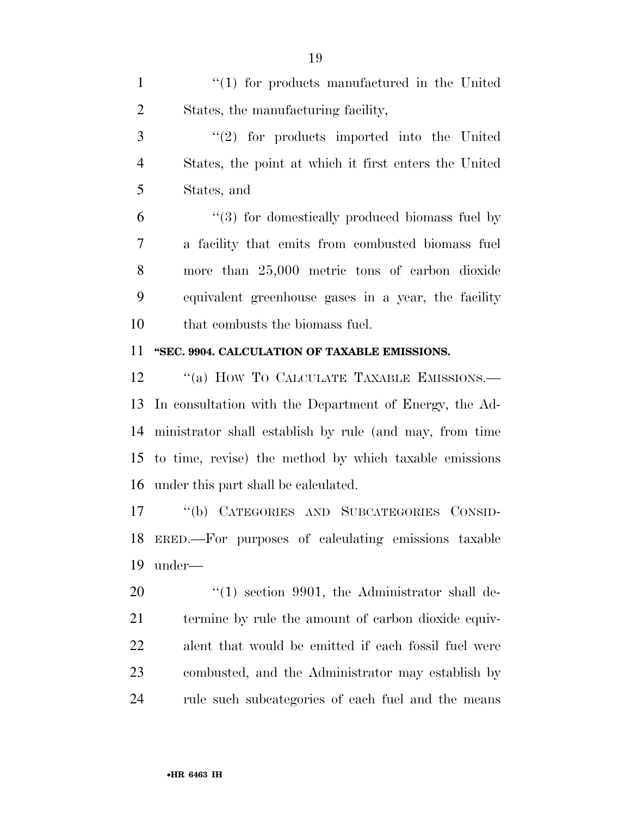1 ''(1) for products manufactured in the United States, the manufacturing facility,

 ''(2) for products imported into the United States, the point at which it first enters the United States, and

 ''(3) for domestically produced biomass fuel by a facility that emits from combusted biomass fuel more than 25,000 metric tons of carbon dioxide equivalent greenhouse gases in a year, the facility that combusts the biomass fuel.

#### **''SEC. 9904. CALCULATION OF TAXABLE EMISSIONS.**

12 "(a) HOW TO CALCULATE TAXABLE EMISSIONS.— In consultation with the Department of Energy, the Ad- ministrator shall establish by rule (and may, from time to time, revise) the method by which taxable emissions under this part shall be calculated.

 ''(b) CATEGORIES AND SUBCATEGORIES CONSID- ERED.—For purposes of calculating emissions taxable under—

20 "(1) section 9901, the Administrator shall de- termine by rule the amount of carbon dioxide equiv- alent that would be emitted if each fossil fuel were combusted, and the Administrator may establish by rule such subcategories of each fuel and the means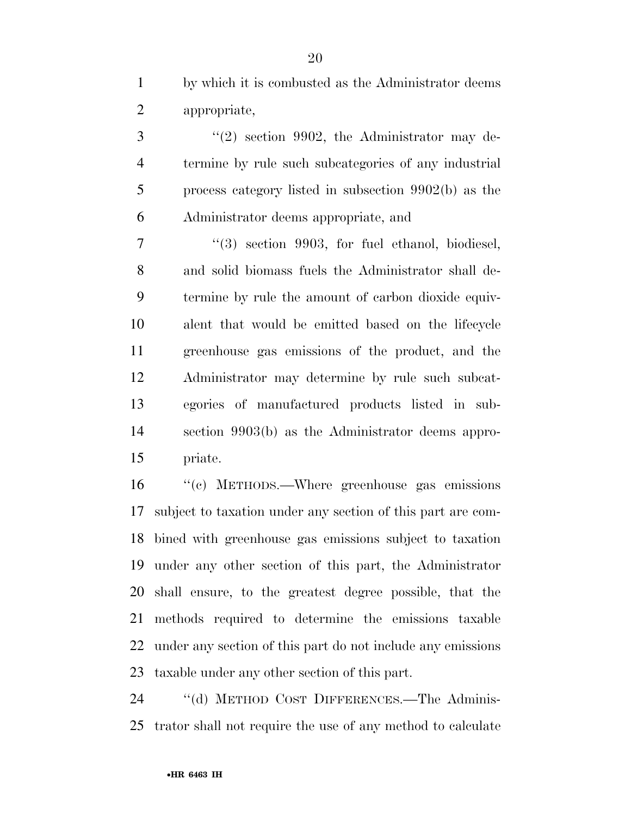by which it is combusted as the Administrator deems appropriate,

3 "(2) section 9902, the Administrator may de- termine by rule such subcategories of any industrial process category listed in subsection 9902(b) as the Administrator deems appropriate, and

 ''(3) section 9903, for fuel ethanol, biodiesel, and solid biomass fuels the Administrator shall de- termine by rule the amount of carbon dioxide equiv- alent that would be emitted based on the lifecycle greenhouse gas emissions of the product, and the Administrator may determine by rule such subcat- egories of manufactured products listed in sub- section 9903(b) as the Administrator deems appro-priate.

 ''(c) METHODS.—Where greenhouse gas emissions subject to taxation under any section of this part are com- bined with greenhouse gas emissions subject to taxation under any other section of this part, the Administrator shall ensure, to the greatest degree possible, that the methods required to determine the emissions taxable under any section of this part do not include any emissions taxable under any other section of this part.

 ''(d) METHOD COST DIFFERENCES.—The Adminis-trator shall not require the use of any method to calculate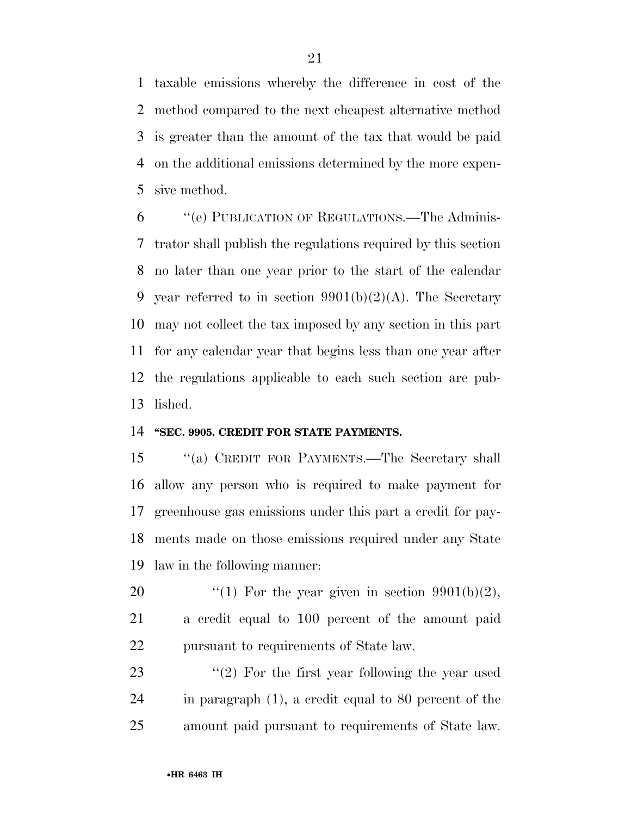taxable emissions whereby the difference in cost of the method compared to the next cheapest alternative method is greater than the amount of the tax that would be paid on the additional emissions determined by the more expen-sive method.

 ''(e) PUBLICATION OF REGULATIONS.—The Adminis- trator shall publish the regulations required by this section no later than one year prior to the start of the calendar 9 year referred to in section  $9901(b)(2)(A)$ . The Secretary may not collect the tax imposed by any section in this part for any calendar year that begins less than one year after the regulations applicable to each such section are pub-lished.

#### **''SEC. 9905. CREDIT FOR STATE PAYMENTS.**

 ''(a) CREDIT FOR PAYMENTS.—The Secretary shall allow any person who is required to make payment for greenhouse gas emissions under this part a credit for pay- ments made on those emissions required under any State law in the following manner:

20  $\frac{1}{2}$  (1) For the year given in section 9901(b)(2), a credit equal to 100 percent of the amount paid pursuant to requirements of State law.

23 ''(2) For the first year following the year used in paragraph (1), a credit equal to 80 percent of the amount paid pursuant to requirements of State law.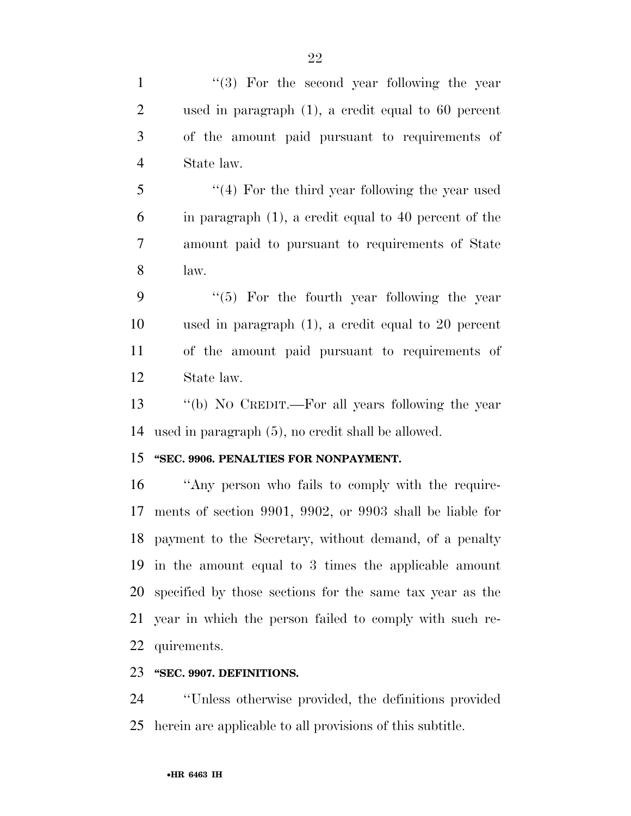1 ''(3) For the second year following the year used in paragraph (1), a credit equal to 60 percent of the amount paid pursuant to requirements of State law. ''(4) For the third year following the year used in paragraph (1), a credit equal to 40 percent of the amount paid to pursuant to requirements of State law. 9 "(5) For the fourth year following the year used in paragraph (1), a credit equal to 20 percent of the amount paid pursuant to requirements of State law. ''(b) NO CREDIT.—For all years following the year used in paragraph (5), no credit shall be allowed. **''SEC. 9906. PENALTIES FOR NONPAYMENT.**  ''Any person who fails to comply with the require- ments of section 9901, 9902, or 9903 shall be liable for payment to the Secretary, without demand, of a penalty in the amount equal to 3 times the applicable amount specified by those sections for the same tax year as the year in which the person failed to comply with such re-quirements.

#### **''SEC. 9907. DEFINITIONS.**

 ''Unless otherwise provided, the definitions provided herein are applicable to all provisions of this subtitle.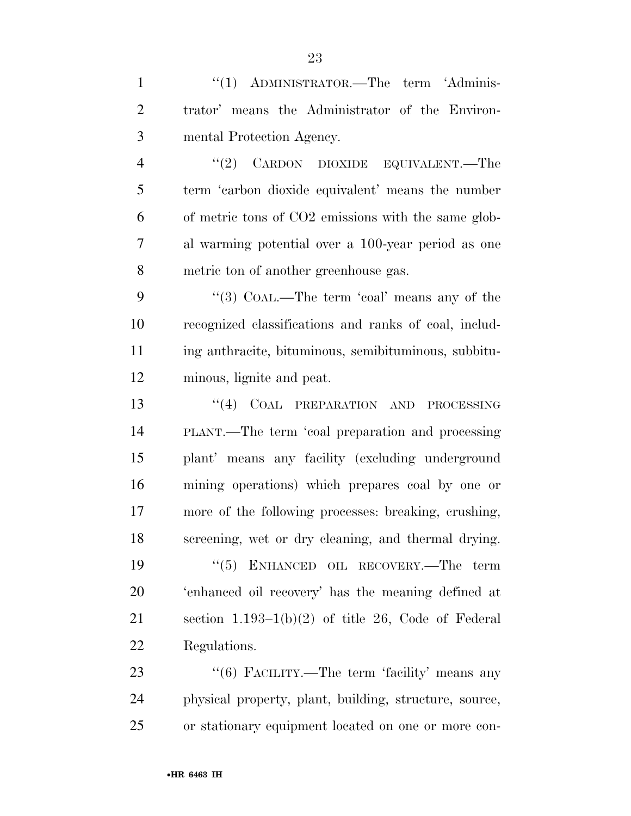| $\mathbf{1}$   | "(1) ADMINISTRATOR.—The term 'Adminis-                 |
|----------------|--------------------------------------------------------|
| $\overline{2}$ | trator' means the Administrator of the Environ-        |
| 3              | mental Protection Agency.                              |
| $\overline{4}$ | "(2) CARDON DIOXIDE EQUIVALENT.—The                    |
| 5              | term 'carbon dioxide equivalent' means the number      |
| 6              | of metric tons of CO2 emissions with the same glob-    |
| $\overline{7}$ | al warming potential over a 100-year period as one     |
| 8              | metric ton of another greenhouse gas.                  |
| 9              | "(3) COAL.—The term 'coal' means any of the            |
| 10             | recognized classifications and ranks of coal, includ-  |
| 11             | ing anthracite, bituminous, semibituminous, subbitu-   |
| 12             | minous, lignite and peat.                              |
| 13             | "(4) COAL PREPARATION AND PROCESSING                   |
| 14             | PLANT.—The term 'coal preparation and processing       |
| 15             | plant' means any facility (excluding underground       |
| 16             | mining operations) which prepares coal by one or       |
| 17             | more of the following processes: breaking, crushing,   |
| 18             | screening, wet or dry cleaning, and thermal drying.    |
| 19             | "(5) ENHANCED OIL RECOVERY.—The term                   |
| 20             | 'enhanced oil recovery' has the meaning defined at     |
| 21             | section $1.193-1(b)(2)$ of title 26, Code of Federal   |
| 22             | Regulations.                                           |
| 23             | "(6) FACILITY.—The term 'facility' means any           |
| 24             | physical property, plant, building, structure, source, |

or stationary equipment located on one or more con-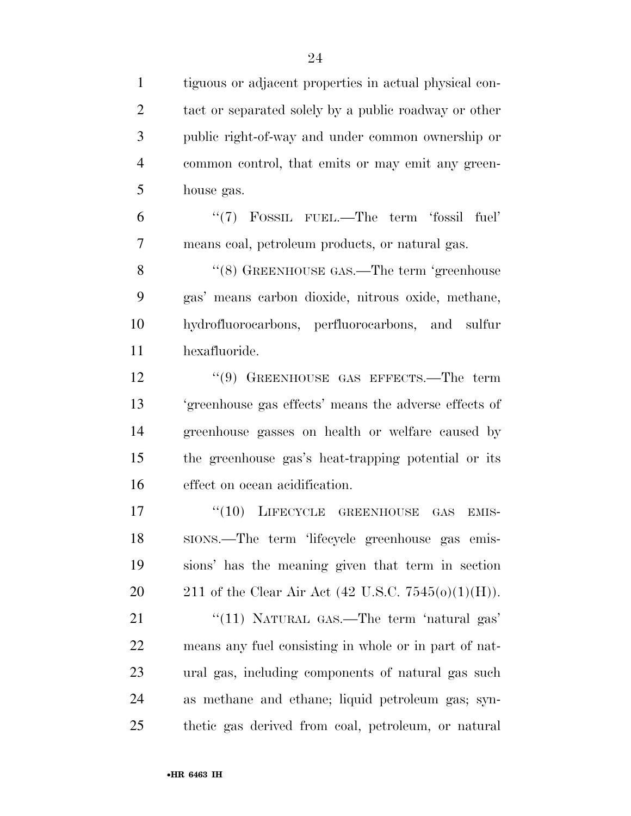tiguous or adjacent properties in actual physical con-2 tact or separated solely by a public roadway or other public right-of-way and under common ownership or common control, that emits or may emit any green- house gas. ''(7) FOSSIL FUEL.—The term 'fossil fuel' means coal, petroleum products, or natural gas. 8 "(8) GREENHOUSE GAS.—The term 'greenhouse gas' means carbon dioxide, nitrous oxide, methane, hydrofluorocarbons, perfluorocarbons, and sulfur hexafluoride. 12 "(9) GREENHOUSE GAS EFFECTS.—The term 'greenhouse gas effects' means the adverse effects of greenhouse gasses on health or welfare caused by the greenhouse gas's heat-trapping potential or its effect on ocean acidification. 17 "(10) LIFECYCLE GREENHOUSE GAS EMIS- SIONS.—The term 'lifecycle greenhouse gas emis- sions' has the meaning given that term in section 20 211 of the Clear Air Act  $(42 \text{ U.S.C. } 7545(0)(1)(\text{H}))$ . 21 "(11) NATURAL GAS.—The term 'natural gas' means any fuel consisting in whole or in part of nat- ural gas, including components of natural gas such as methane and ethane; liquid petroleum gas; syn-thetic gas derived from coal, petroleum, or natural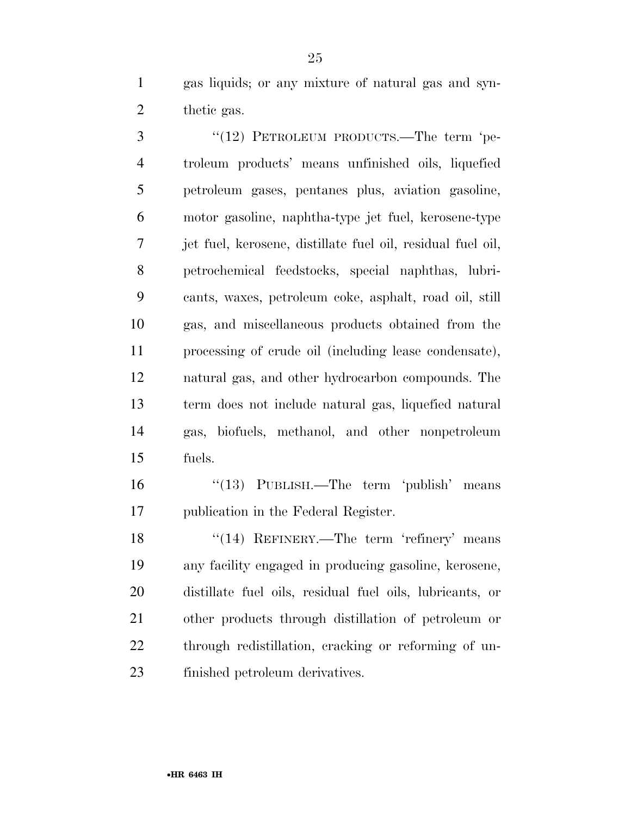gas liquids; or any mixture of natural gas and syn-thetic gas.

3 "(12) PETROLEUM PRODUCTS.—The term 'pe- troleum products' means unfinished oils, liquefied petroleum gases, pentanes plus, aviation gasoline, motor gasoline, naphtha-type jet fuel, kerosene-type jet fuel, kerosene, distillate fuel oil, residual fuel oil, petrochemical feedstocks, special naphthas, lubri- cants, waxes, petroleum coke, asphalt, road oil, still gas, and miscellaneous products obtained from the processing of crude oil (including lease condensate), natural gas, and other hydrocarbon compounds. The term does not include natural gas, liquefied natural gas, biofuels, methanol, and other nonpetroleum fuels.

 ''(13) PUBLISH.—The term 'publish' means publication in the Federal Register.

18 "(14) REFINERY.—The term 'refinery' means any facility engaged in producing gasoline, kerosene, distillate fuel oils, residual fuel oils, lubricants, or other products through distillation of petroleum or through redistillation, cracking or reforming of un-finished petroleum derivatives.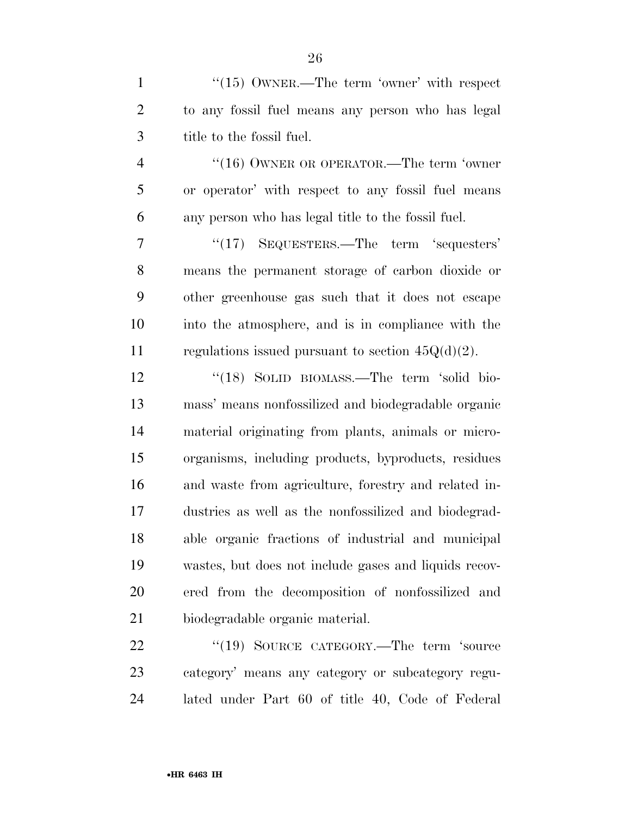1 "(15) OWNER.—The term 'owner' with respect to any fossil fuel means any person who has legal title to the fossil fuel.

4 "(16) OWNER OR OPERATOR.—The term 'owner or operator' with respect to any fossil fuel means any person who has legal title to the fossil fuel.

7 "(17) SEQUESTERS.—The term 'sequesters' means the permanent storage of carbon dioxide or other greenhouse gas such that it does not escape into the atmosphere, and is in compliance with the 11 regulations issued pursuant to section  $45Q(d)(2)$ .

12 "(18) SOLID BIOMASS.—The term 'solid bio- mass' means nonfossilized and biodegradable organic material originating from plants, animals or micro- organisms, including products, byproducts, residues and waste from agriculture, forestry and related in- dustries as well as the nonfossilized and biodegrad- able organic fractions of industrial and municipal wastes, but does not include gases and liquids recov- ered from the decomposition of nonfossilized and biodegradable organic material.

22 "(19) SOURCE CATEGORY.—The term 'source category' means any category or subcategory regu-lated under Part 60 of title 40, Code of Federal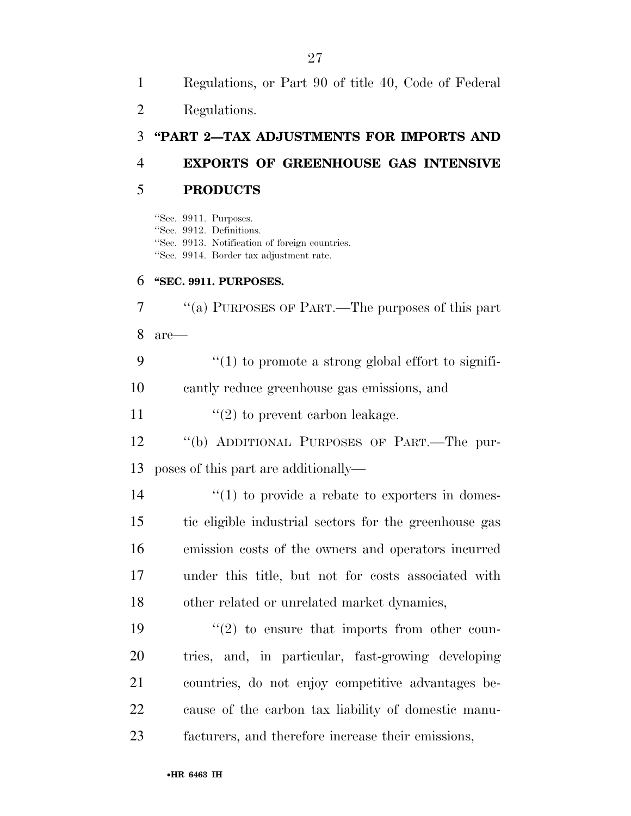| $\overline{2}$ | Regulations.                                                                                                                                   |
|----------------|------------------------------------------------------------------------------------------------------------------------------------------------|
| 3              | "PART 2-TAX ADJUSTMENTS FOR IMPORTS AND                                                                                                        |
| $\overline{4}$ | <b>EXPORTS OF GREENHOUSE GAS INTENSIVE</b>                                                                                                     |
| 5              | <b>PRODUCTS</b>                                                                                                                                |
|                | "Sec. 9911. Purposes.<br>"Sec. 9912. Definitions.<br>"Sec. 9913. Notification of foreign countries.<br>"Sec. 9914. Border tax adjustment rate. |
| 6              | "SEC. 9911. PURPOSES.                                                                                                                          |
| 7              | "(a) PURPOSES OF PART.—The purposes of this part                                                                                               |
| 8              | $are-$                                                                                                                                         |
| 9              | $"(1)$ to promote a strong global effort to signifi-                                                                                           |
| 10             | cantly reduce greenhouse gas emissions, and                                                                                                    |
| 11             | $\lq(2)$ to prevent carbon leakage.                                                                                                            |
| 12             | "(b) ADDITIONAL PURPOSES OF PART.—The pur-                                                                                                     |
| 13             | poses of this part are additionally—                                                                                                           |
| 14             | $\lq(1)$ to provide a rebate to exporters in domes-                                                                                            |
| 15             | tic eligible industrial sectors for the greenhouse gas                                                                                         |
| 16             | emission costs of the owners and operators incurred                                                                                            |
| 17             | under this title, but not for costs associated with                                                                                            |
| 18             | other related or unrelated market dynamics,                                                                                                    |
| 19             | $\lq(2)$ to ensure that imports from other coun-                                                                                               |
| 20             | tries, and, in particular, fast-growing developing                                                                                             |
| 21             | countries, do not enjoy competitive advantages be-                                                                                             |
| 22             | cause of the carbon tax liability of domestic manu-                                                                                            |
| 23             | facturers, and therefore increase their emissions,                                                                                             |

Regulations, or Part 90 of title 40, Code of Federal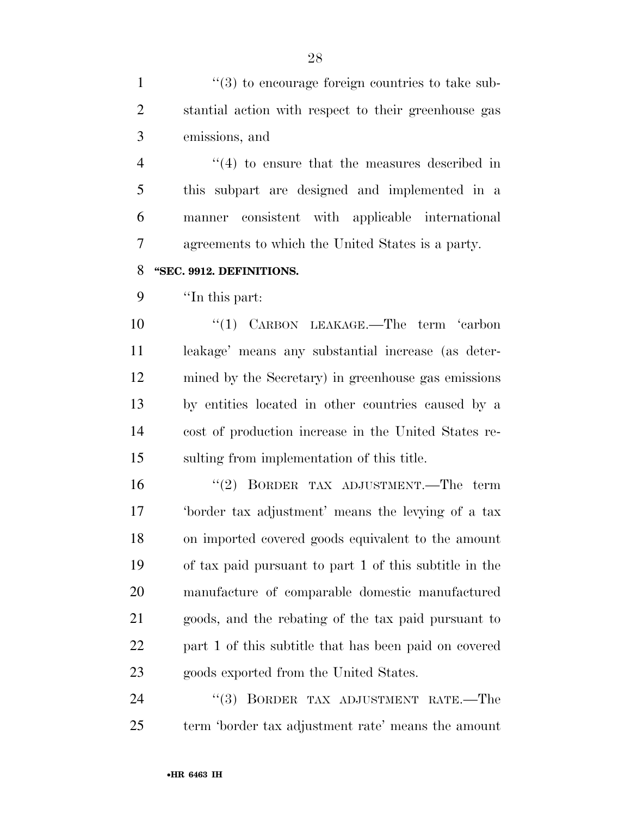1  $\frac{u(3)}{2}$  to encourage foreign countries to take sub- stantial action with respect to their greenhouse gas emissions, and

4 ''(4) to ensure that the measures described in this subpart are designed and implemented in a manner consistent with applicable international agreements to which the United States is a party.

#### **''SEC. 9912. DEFINITIONS.**

''In this part:

10 "(1) CARBON LEAKAGE.—The term 'carbon leakage' means any substantial increase (as deter- mined by the Secretary) in greenhouse gas emissions by entities located in other countries caused by a cost of production increase in the United States re-sulting from implementation of this title.

 ''(2) BORDER TAX ADJUSTMENT.—The term 'border tax adjustment' means the levying of a tax on imported covered goods equivalent to the amount of tax paid pursuant to part 1 of this subtitle in the manufacture of comparable domestic manufactured goods, and the rebating of the tax paid pursuant to part 1 of this subtitle that has been paid on covered goods exported from the United States.

24 "(3) BORDER TAX ADJUSTMENT RATE.—The term 'border tax adjustment rate' means the amount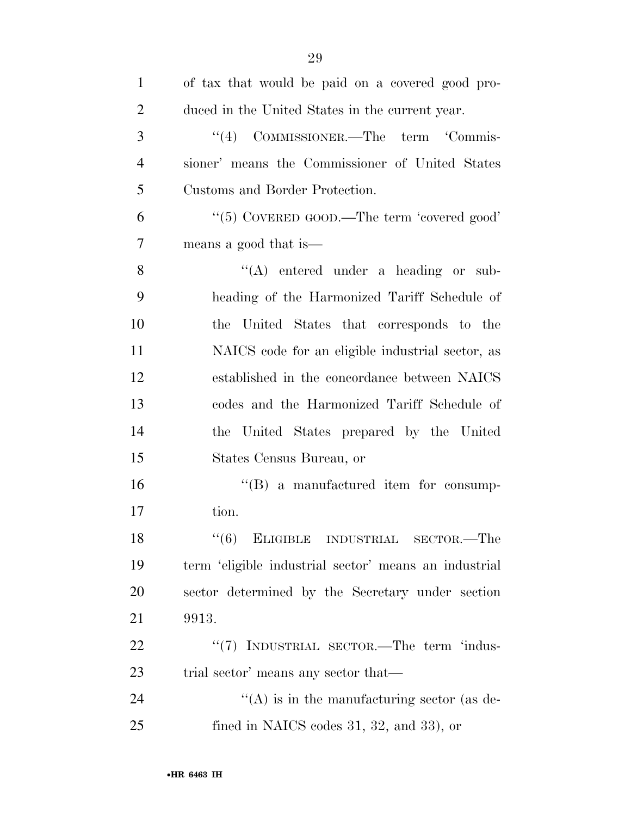| $\mathbf{1}$   | of tax that would be paid on a covered good pro-      |
|----------------|-------------------------------------------------------|
| $\overline{2}$ | duced in the United States in the current year.       |
| 3              | "(4) COMMISSIONER.—The term 'Commis-                  |
| $\overline{4}$ | sioner' means the Commissioner of United States       |
| 5              | Customs and Border Protection.                        |
| 6              | "(5) COVERED GOOD.—The term 'covered good'            |
| 7              | means a good that is—                                 |
| 8              | $\lq\lq$ entered under a heading or sub-              |
| 9              | heading of the Harmonized Tariff Schedule of          |
| 10             | the United States that corresponds to the             |
| 11             | NAICS code for an eligible industrial sector, as      |
| 12             | established in the concordance between NAICS          |
| 13             | codes and the Harmonized Tariff Schedule of           |
| 14             | the United States prepared by the United              |
| 15             | States Census Bureau, or                              |
| 16             | $\lq\lq (B)$ a manufactured item for consump-         |
| 17             | tion.                                                 |
| 18             | "(6) ELIGIBLE INDUSTRIAL SECTOR.—The                  |
| 19             | term 'eligible industrial sector' means an industrial |
| 20             | sector determined by the Secretary under section      |
| 21             | 9913.                                                 |
| 22             | "(7) INDUSTRIAL SECTOR.—The term 'indus-              |
| 23             | trial sector' means any sector that—                  |
| 24             | $\lq\lq$ is in the manufacturing sector (as de-       |
| 25             | fined in NAICS codes $31, 32,$ and $33$ ), or         |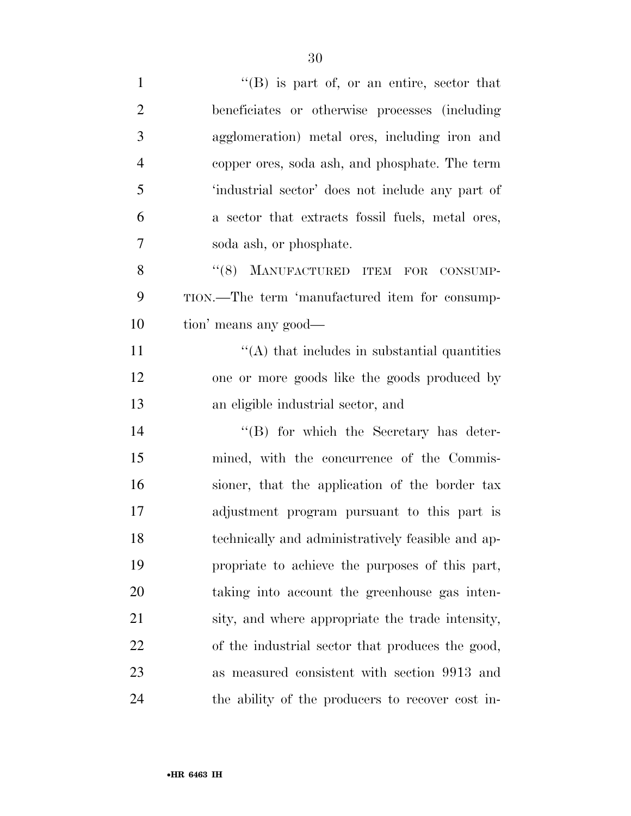| $\mathbf{1}$   | "(B) is part of, or an entire, sector that        |
|----------------|---------------------------------------------------|
| $\overline{2}$ | beneficiates or otherwise processes (including    |
| 3              | agglomeration) metal ores, including iron and     |
| $\overline{4}$ | copper ores, soda ash, and phosphate. The term    |
| 5              | 'industrial sector' does not include any part of  |
| 6              | a sector that extracts fossil fuels, metal ores,  |
| 7              | soda ash, or phosphate.                           |
| 8              | "(8) MANUFACTURED ITEM FOR CONSUMP-               |
| 9              | TION.—The term 'manufactured item for consump-    |
| 10             | tion' means any good—                             |
| 11             | $\lq\lq$ that includes in substantial quantities  |
| 12             | one or more goods like the goods produced by      |
| 13             | an eligible industrial sector, and                |
| 14             | "(B) for which the Secretary has deter-           |
| 15             | mined, with the concurrence of the Commis-        |
| 16             | sioner, that the application of the border tax    |
| 17             | adjustment program pursuant to this part is       |
| 18             | technically and administratively feasible and ap- |
| 19             | propriate to achieve the purposes of this part,   |
| 20             | taking into account the greenhouse gas inten-     |
| 21             | sity, and where appropriate the trade intensity,  |
| 22             | of the industrial sector that produces the good,  |
| 23             | as measured consistent with section 9913 and      |
| 24             | the ability of the producers to recover cost in-  |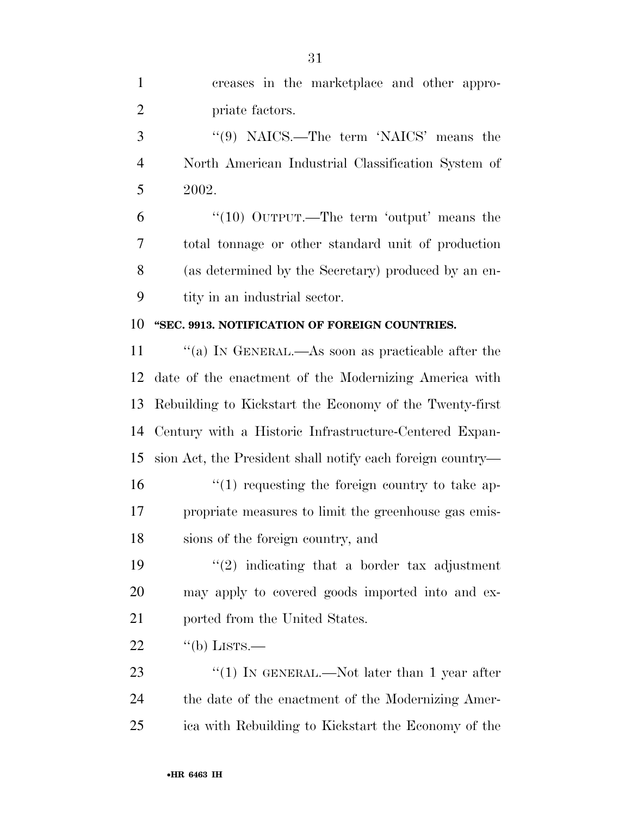| $\mathbf{1}$   | creases in the marketplace and other appro-                |
|----------------|------------------------------------------------------------|
| $\overline{2}$ | priate factors.                                            |
| 3              | " $(9)$ NAICS.—The term 'NAICS' means the                  |
| $\overline{4}$ | North American Industrial Classification System of         |
| 5              | 2002.                                                      |
| 6              | " $(10)$ OUTPUT.—The term 'output' means the               |
| 7              | total tonnage or other standard unit of production         |
| 8              | (as determined by the Secretary) produced by an en-        |
| 9              | tity in an industrial sector.                              |
| 10             | "SEC. 9913. NOTIFICATION OF FOREIGN COUNTRIES.             |
| 11             | "(a) IN GENERAL.—As soon as practicable after the          |
| 12             | date of the enactment of the Modernizing America with      |
| 13             | Rebuilding to Kickstart the Economy of the Twenty-first    |
| 14             | Century with a Historic Infrastructure-Centered Expan-     |
| 15             | sion Act, the President shall notify each foreign country— |
| 16             | $\lq(1)$ requesting the foreign country to take ap-        |
| 17             | propriate measures to limit the greenhouse gas emis-       |
| 18             | sions of the foreign country, and                          |
| 19             | $\lq(2)$ indicating that a border tax adjustment           |
| 20             | may apply to covered goods imported into and ex-           |
| 21             | ported from the United States.                             |
| 22             | $\lq\lq(b)$ LISTS.—                                        |
| 23             | "(1) IN GENERAL.—Not later than 1 year after               |
| 24             | the date of the enactment of the Modernizing Amer-         |
| 25             | ica with Rebuilding to Kickstart the Economy of the        |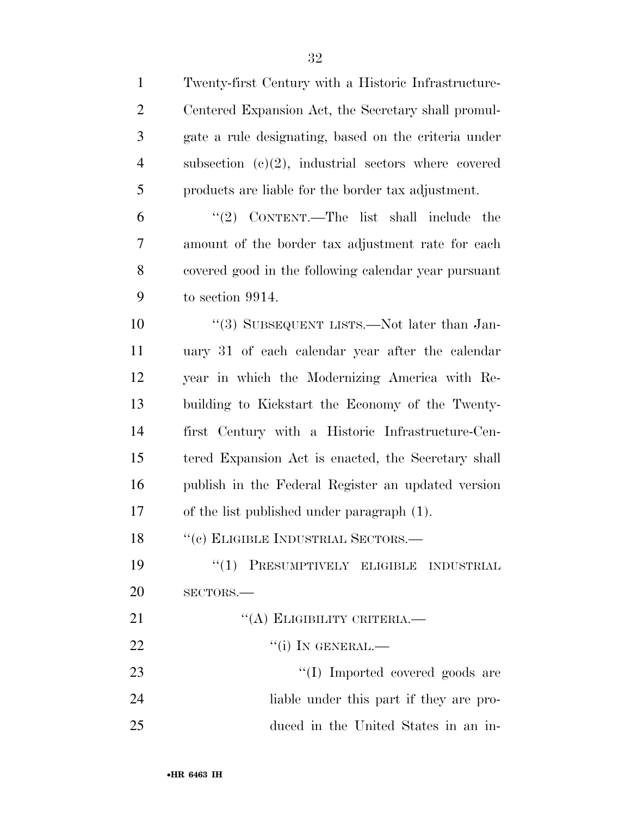Twenty-first Century with a Historic Infrastructure- Centered Expansion Act, the Secretary shall promul- gate a rule designating, based on the criteria under subsection (c)(2), industrial sectors where covered products are liable for the border tax adjustment. ''(2) CONTENT.—The list shall include the amount of the border tax adjustment rate for each covered good in the following calendar year pursuant

 $\frac{10}{3}$  SUBSEQUENT LISTS.—Not later than Jan- uary 31 of each calendar year after the calendar year in which the Modernizing America with Re- building to Kickstart the Economy of the Twenty- first Century with a Historic Infrastructure-Cen- tered Expansion Act is enacted, the Secretary shall publish in the Federal Register an updated version of the list published under paragraph (1).

18 "(c) ELIGIBLE INDUSTRIAL SECTORS.—

19 "(1) PRESUMPTIVELY ELIGIBLE INDUSTRIAL SECTORS.—

| 21 | $\lq\lq$ (A) ELIGIBILITY CRITERIA.—     |
|----|-----------------------------------------|
| 22 | $``(i)$ In GENERAL.—                    |
| 23 | "(I) Imported covered goods are         |
| 24 | liable under this part if they are pro- |
| 25 | duced in the United States in an in-    |

to section 9914.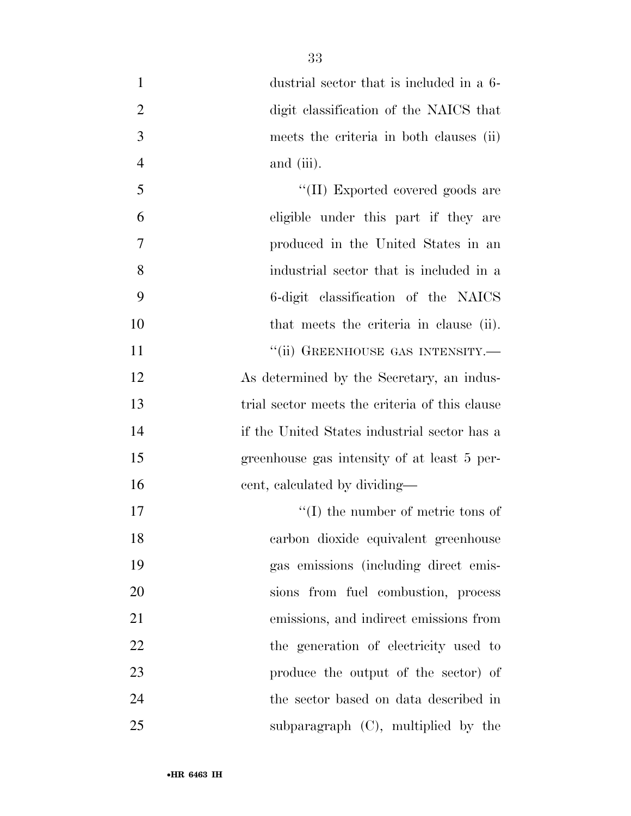| $\mathbf{1}$   | dustrial sector that is included in a 6-       |
|----------------|------------------------------------------------|
| $\overline{2}$ | digit classification of the NAICS that         |
| 3              | meets the criteria in both clauses (ii)        |
| $\overline{4}$ | and (iii).                                     |
| 5              | "(II) Exported covered goods are               |
| 6              | eligible under this part if they are           |
| 7              | produced in the United States in an            |
| 8              | industrial sector that is included in a        |
| 9              | 6-digit classification of the NAICS            |
| 10             | that meets the criteria in clause (ii).        |
| 11             | "(ii) GREENHOUSE GAS INTENSITY.—               |
| 12             | As determined by the Secretary, an indus-      |
| 13             | trial sector meets the criteria of this clause |
| 14             | if the United States industrial sector has a   |
| 15             | greenhouse gas intensity of at least 5 per-    |
| 16             | cent, calculated by dividing—                  |
| 17             | $\lq\lq$ the number of metric tons of          |
| 18             | carbon dioxide equivalent greenhouse           |
| 19             | gas emissions (including direct emis-          |
| 20             | sions from fuel combustion, process            |
| 21             | emissions, and indirect emissions from         |
| 22             | the generation of electricity used to          |
| 23             | produce the output of the sector) of           |
| 24             | the sector based on data described in          |
| 25             | subparagraph $(C)$ , multiplied by the         |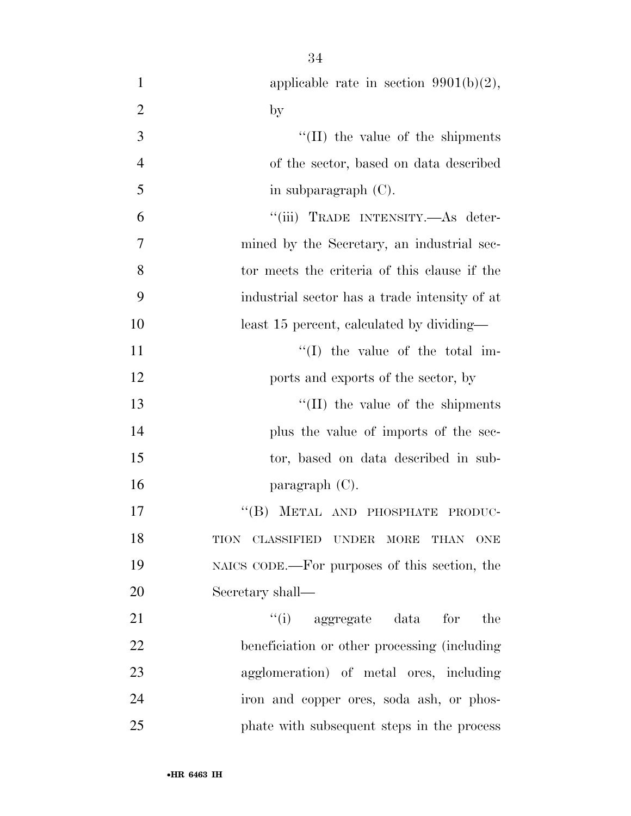| $\mathbf{1}$   | applicable rate in section $9901(b)(2)$ ,     |
|----------------|-----------------------------------------------|
| $\overline{2}$ | $\mathbf{b}$                                  |
| 3              | $\lq\lq$ (II) the value of the shipments      |
| $\overline{4}$ | of the sector, based on data described        |
| 5              | in subparagraph $(C)$ .                       |
| 6              | "(iii) TRADE INTENSITY.—As deter-             |
| 7              | mined by the Secretary, an industrial sec-    |
| 8              | tor meets the criteria of this clause if the  |
| 9              | industrial sector has a trade intensity of at |
| 10             | least 15 percent, calculated by dividing—     |
| 11             | $\lq\lq$ (I) the value of the total im-       |
| 12             | ports and exports of the sector, by           |
| 13             | $\lq$ (II) the value of the shipments         |
| 14             | plus the value of imports of the sec-         |
| 15             | tor, based on data described in sub-          |
| 16             | paragraph $(C)$ .                             |
| 17             | "(B) METAL AND PHOSPHATE PRODUC-              |
| 18             | TION CLASSIFIED UNDER MORE THAN ONE           |
| 19             | NAICS CODE.—For purposes of this section, the |
| 20             | Secretary shall—                              |
| 21             | $``(i)$ aggregate data<br>for<br>the          |
| 22             | beneficiation or other processing (including) |
| 23             | agglomeration) of metal ores, including       |
| 24             | iron and copper ores, soda ash, or phos-      |
| 25             | phate with subsequent steps in the process    |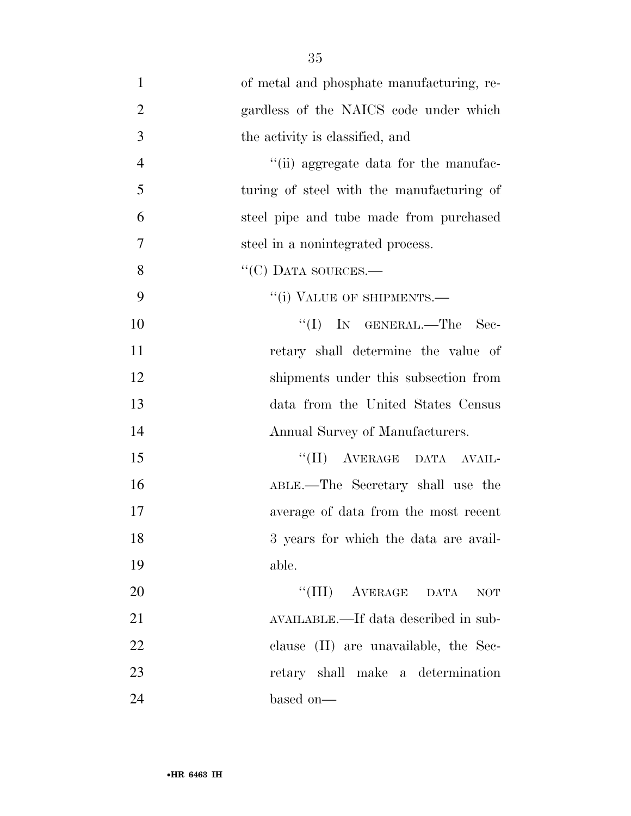of metal and phosphate manufacturing, re- gardless of the NAICS code under which the activity is classified, and 4 ''(ii) aggregate data for the manufac- turing of steel with the manufacturing of steel pipe and tube made from purchased steel in a nonintegrated process. 8 "'(C) DATA SOURCES.— 9 "(i) VALUE OF SHIPMENTS. 10 ''(I) In GENERAL.—The Sec- retary shall determine the value of shipments under this subsection from data from the United States Census Annual Survey of Manufacturers. 15 "(II) AVERAGE DATA AVAIL- ABLE.—The Secretary shall use the average of data from the most recent 18 3 years for which the data are avail- able. ''(III) AVERAGE DATA NOT AVAILABLE.—If data described in sub- clause (II) are unavailable, the Sec- retary shall make a determination based on—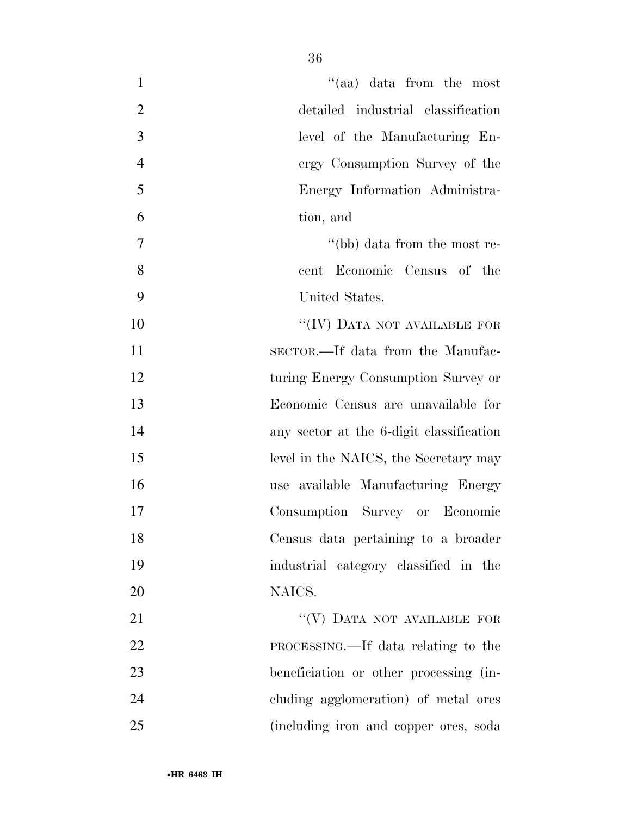| $\cdot$ (aa) data from the most<br>$\mathbf{1}$      |  |
|------------------------------------------------------|--|
| $\overline{2}$<br>detailed industrial classification |  |
| 3<br>level of the Manufacturing En-                  |  |
| $\overline{4}$<br>ergy Consumption Survey of the     |  |
| 5<br>Energy Information Administra-                  |  |
| 6<br>tion, and                                       |  |
| 7<br>"(bb) data from the most re-                    |  |
| 8<br>Economic Census of the<br>cent                  |  |
| 9<br>United States.                                  |  |
| "(IV) DATA NOT AVAILABLE FOR<br>10                   |  |
| 11<br>SECTOR.—If data from the Manufac-              |  |
| 12<br>turing Energy Consumption Survey or            |  |
| 13<br>Economic Census are unavailable for            |  |
| 14<br>any sector at the 6-digit classification       |  |
| 15<br>level in the NAICS, the Secretary may          |  |
| 16<br>use available Manufacturing Energy             |  |
| 17<br>Consumption Survey or Economic                 |  |
| 18<br>Census data pertaining to a broader            |  |
| 19<br>industrial category classified in the          |  |
| 20<br>NAICS.                                         |  |
| "(V) DATA NOT AVAILABLE FOR<br>21                    |  |
| 22<br>PROCESSING.—If data relating to the            |  |
| 23<br>beneficiation or other processing (in-         |  |
| 24<br>cluding agglomeration) of metal ores           |  |
| 25<br>(including iron and copper ores, soda          |  |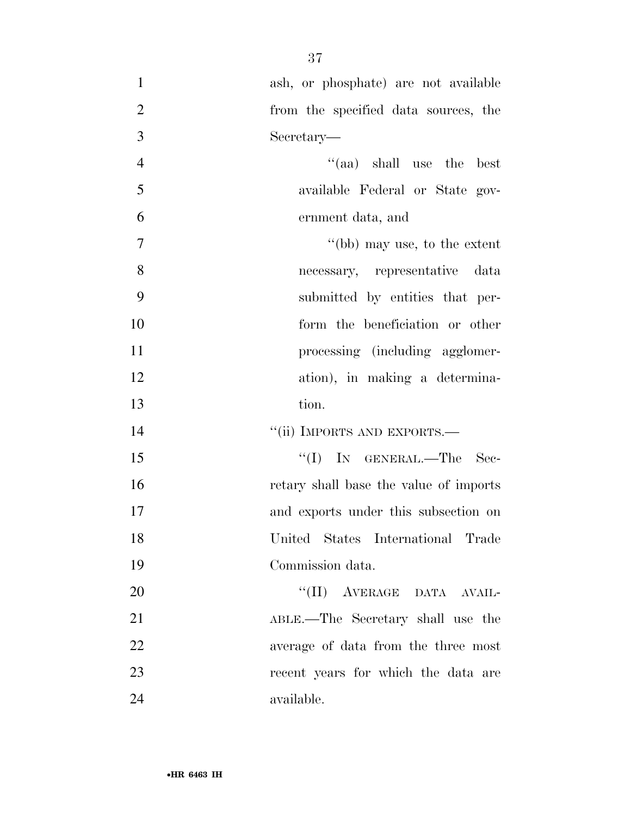| $\mathbf{1}$   | ash, or phosphate) are not available   |
|----------------|----------------------------------------|
| $\overline{2}$ | from the specified data sources, the   |
| 3              | Secretary—                             |
| $\overline{4}$ | $\cdot$ (aa) shall use the best        |
| 5              | available Federal or State gov-        |
| 6              | ernment data, and                      |
| $\overline{7}$ | "(bb) may use, to the extent           |
| 8              | necessary, representative data         |
| 9              | submitted by entities that per-        |
| 10             | form the beneficiation or other        |
| 11             | processing (including agglomer-        |
| 12             | ation), in making a determina-         |
| 13             | tion.                                  |
| 14             | "(ii) IMPORTS AND EXPORTS.—            |
| 15             | "(I) IN GENERAL.—The Sec-              |
| 16             | retary shall base the value of imports |
| 17             | and exports under this subsection on   |
| 18             | United States International Trade      |
| 19             | Commission data.                       |
| 20             | "(II) AVERAGE DATA AVAIL-              |
| 21             | ABLE.—The Secretary shall use the      |
| 22             | average of data from the three most    |
| 23             | recent years for which the data are    |
| 24             | available.                             |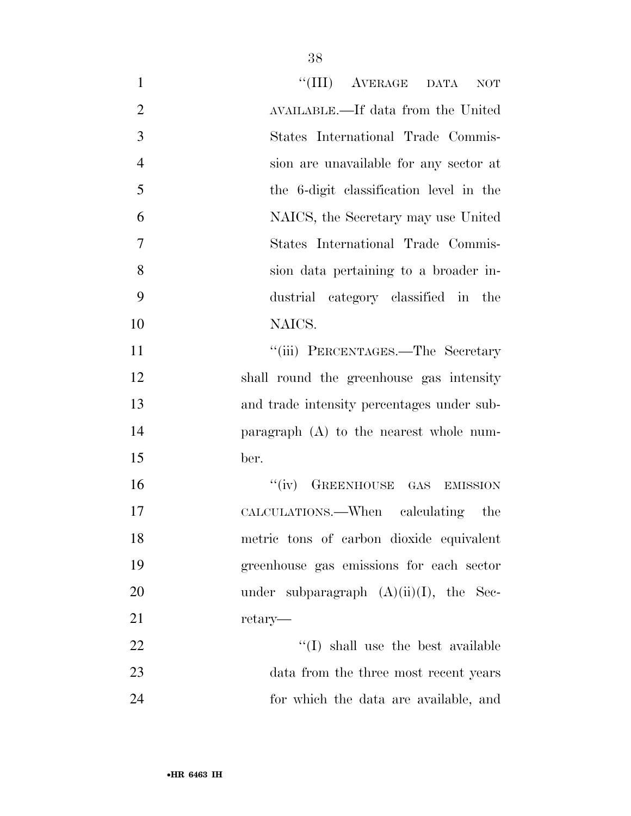| $\mathbf{1}$   | "(III) AVERAGE DATA<br><b>NOT</b>          |
|----------------|--------------------------------------------|
| $\overline{2}$ | AVAILABLE.—If data from the United         |
| 3              | States International Trade Commis-         |
| $\overline{4}$ | sion are unavailable for any sector at     |
| 5              | the 6-digit classification level in the    |
| 6              | NAICS, the Secretary may use United        |
| 7              | States International Trade Commis-         |
| 8              | sion data pertaining to a broader in-      |
| 9              | dustrial category classified in the        |
| 10             | NAICS.                                     |
| 11             | "(iii) PERCENTAGES.—The Secretary          |
| 12             | shall round the greenhouse gas intensity   |
| 13             | and trade intensity percentages under sub- |
| 14             | paragraph $(A)$ to the nearest whole num-  |
| 15             | ber.                                       |
| 16             | "(iv) GREENHOUSE GAS EMISSION              |
| 17             | CALCULATIONS.—When calculating the         |
| 18             | metric tons of carbon dioxide equivalent   |
| 19             | greenhouse gas emissions for each sector   |
| 20             | under subparagraph $(A)(ii)(I)$ , the Sec- |
| 21             | retary—                                    |
| 22             | $\lq\lq$ (I) shall use the best available  |
| 23             | data from the three most recent years      |
| 24             | for which the data are available, and      |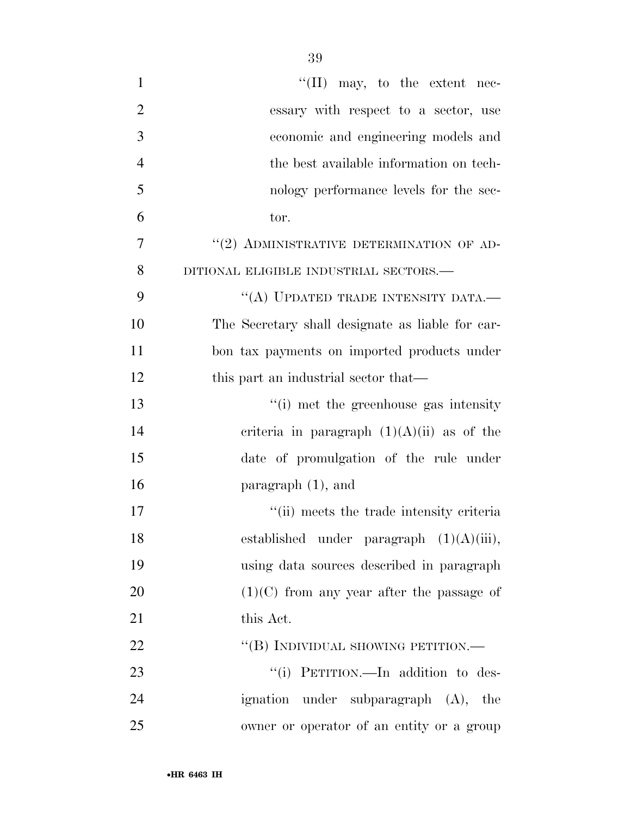| $\mathbf{1}$   | "(II) may, to the extent nec-                    |
|----------------|--------------------------------------------------|
| $\overline{2}$ | essary with respect to a sector, use             |
| 3              | economic and engineering models and              |
| $\overline{4}$ | the best available information on tech-          |
| 5              | nology performance levels for the sec-           |
| 6              | tor.                                             |
| 7              | "(2) ADMINISTRATIVE DETERMINATION OF AD-         |
| 8              | DITIONAL ELIGIBLE INDUSTRIAL SECTORS.-           |
| 9              | "(A) UPDATED TRADE INTENSITY DATA.-              |
| 10             | The Secretary shall designate as liable for car- |
| 11             | bon tax payments on imported products under      |
| 12             | this part an industrial sector that—             |
| 13             | "(i) met the greenhouse gas intensity            |
| 14             | criteria in paragraph $(1)(A)(ii)$ as of the     |
| 15             | date of promulgation of the rule under           |
| 16             | paragraph $(1)$ , and                            |
| 17             | "(ii) meets the trade intensity criteria         |
| 18             | established under paragraph $(1)(A)(iii)$ ,      |
| 19             | using data sources described in paragraph        |
| 20             | $(1)(C)$ from any year after the passage of      |
| 21             | this Act.                                        |
| 22             | "(B) INDIVIDUAL SHOWING PETITION.—               |
| 23             | "(i) PETITION.—In addition to des-               |
| 24             | ignation under subparagraph (A), the             |
| 25             | owner or operator of an entity or a group        |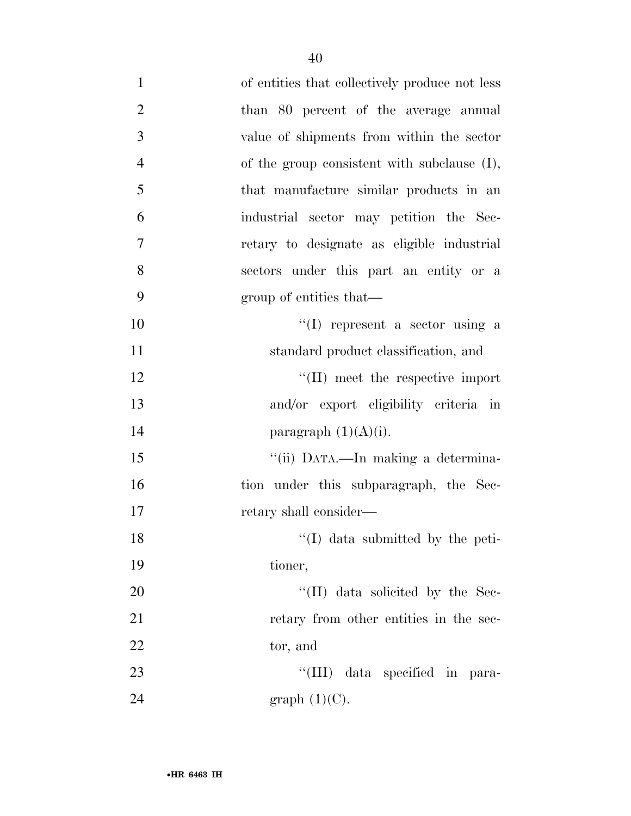| $\mathbf{1}$   | of entities that collectively produce not less |
|----------------|------------------------------------------------|
| $\overline{2}$ | than 80 percent of the average annual          |
| 3              | value of shipments from within the sector      |
| $\overline{4}$ | of the group consistent with subclause (I),    |
| 5              | that manufacture similar products in an        |
| 6              | industrial sector may petition the Sec-        |
| $\overline{7}$ | retary to designate as eligible industrial     |
| 8              | sectors under this part an entity or a         |
| 9              | group of entities that—                        |
| 10             | $\lq\lq$ represent a sector using a            |
| 11             | standard product classification, and           |
| 12             | $\lq\lq$ (II) meet the respective import       |
| 13             | and/or export eligibility criteria in          |
| 14             | paragraph $(1)(A)(i)$ .                        |
| 15             | "(ii) DATA.—In making a determina-             |
| 16             | tion under this subparagraph, the Sec-         |
| 17             | retary shall consider—                         |
| 18             | "(I) data submitted by the peti-               |
| 19             | tioner,                                        |
| $20\,$         | $\lq\lq$ (II) data solicited by the Sec-       |
| 21             | retary from other entities in the sec-         |
| 22             | tor, and                                       |
| 23             | "(III) data specified in para-                 |
| 24             | graph $(1)(C)$ .                               |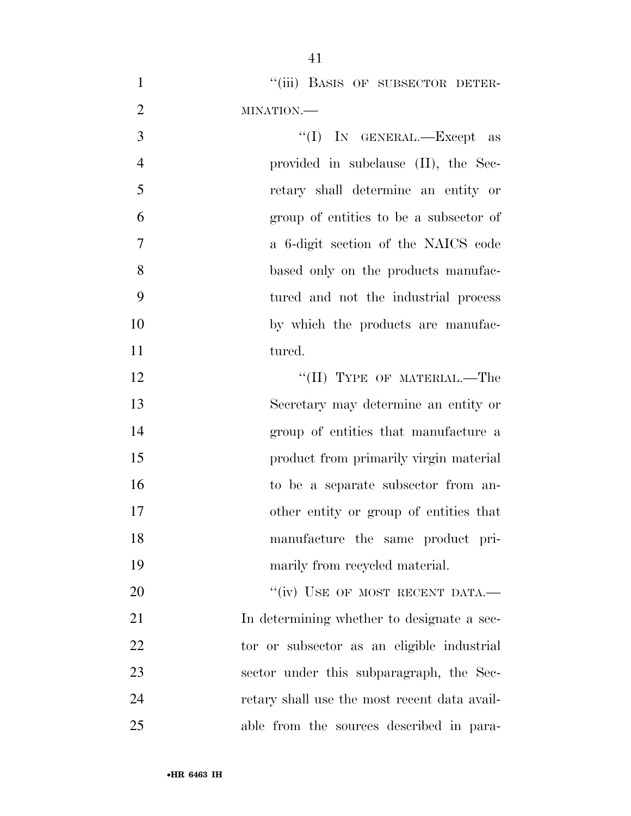| $\mathbf{1}$   | "(iii) BASIS OF SUBSECTOR DETER-             |
|----------------|----------------------------------------------|
| $\overline{2}$ | MINATION.-                                   |
| 3              | "(I) IN GENERAL.—Except as                   |
| $\overline{4}$ | provided in subclause (II), the Sec-         |
| 5              | retary shall determine an entity or          |
| 6              | group of entities to be a subsector of       |
| $\tau$         | a 6-digit section of the NAICS code          |
| 8              | based only on the products manufac-          |
| 9              | tured and not the industrial process         |
| 10             | by which the products are manufac-           |
| 11             | tured.                                       |
| 12             | "(II) TYPE OF MATERIAL.—The                  |
| 13             | Secretary may determine an entity or         |
| 14             | group of entities that manufacture a         |
| 15             | product from primarily virgin material       |
| 16             | to be a separate subsector from an-          |
| 17             | other entity or group of entities that       |
| 18             | manufacture the same product pri-            |
| 19             | marily from recycled material.               |
| 20             | "(iv) USE OF MOST RECENT DATA.-              |
| 21             | In determining whether to designate a sec-   |
| 22             | tor or subsector as an eligible industrial   |
| 23             | sector under this subparagraph, the Sec-     |
| 24             | retary shall use the most recent data avail- |
| 25             | able from the sources described in para-     |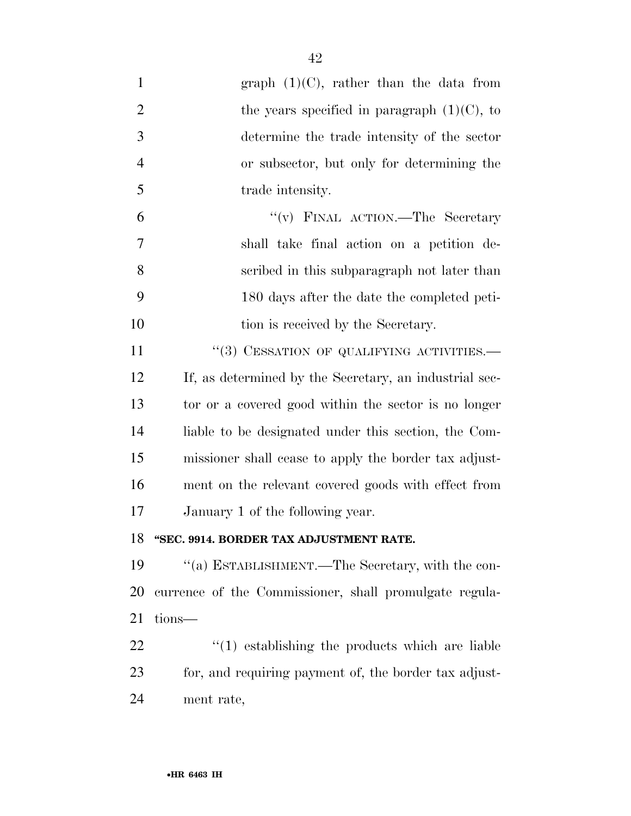| $\mathbf{1}$   | graph $(1)(C)$ , rather than the data from             |
|----------------|--------------------------------------------------------|
| $\overline{2}$ | the years specified in paragraph $(1)(C)$ , to         |
| 3              | determine the trade intensity of the sector            |
| $\overline{4}$ | or subsector, but only for determining the             |
| 5              | trade intensity.                                       |
| 6              | "(v) FINAL ACTION.—The Secretary                       |
| 7              | shall take final action on a petition de-              |
| 8              | scribed in this subparagraph not later than            |
| 9              | 180 days after the date the completed peti-            |
| 10             | tion is received by the Secretary.                     |
| 11             | "(3) CESSATION OF QUALIFYING ACTIVITIES.—              |
| 12             | If, as determined by the Secretary, an industrial sec- |
| 13             | tor or a covered good within the sector is no longer   |
| 14             | liable to be designated under this section, the Com-   |
| 15             | missioner shall cease to apply the border tax adjust-  |
| 16             | ment on the relevant covered goods with effect from    |
| 17             | January 1 of the following year.                       |
| 18             | "SEC. 9914. BORDER TAX ADJUSTMENT RATE.                |
| 19             | "(a) ESTABLISHMENT.—The Secretary, with the con-       |
| 20             | currence of the Commissioner, shall promulgate regula- |
| 21             | tions—                                                 |
| 22             | $\cdot$ (1) establishing the products which are liable |
| 23             | for, and requiring payment of, the border tax adjust-  |
| 24             | ment rate,                                             |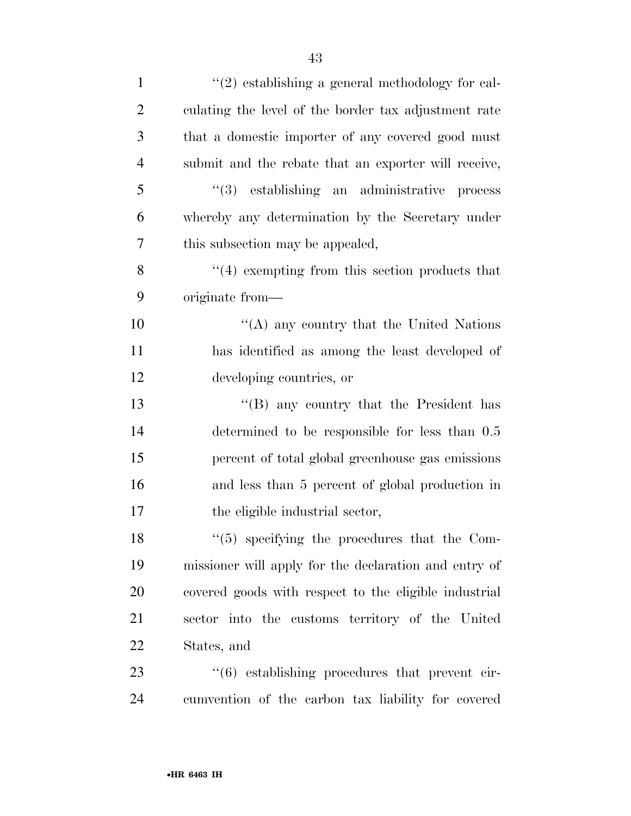| $\mathbf{1}$   | $\lq(2)$ establishing a general methodology for cal-  |
|----------------|-------------------------------------------------------|
| $\overline{2}$ | culating the level of the border tax adjustment rate  |
| 3              | that a domestic importer of any covered good must     |
| $\overline{4}$ | submit and the rebate that an exporter will receive,  |
| 5              | $(3)$ establishing an administrative process          |
| 6              | whereby any determination by the Secretary under      |
| 7              | this subsection may be appealed,                      |
| 8              | $\cdot$ (4) exempting from this section products that |
| 9              | originate from—                                       |
| 10             | "(A) any country that the United Nations              |
| 11             | has identified as among the least developed of        |
| 12             | developing countries, or                              |
| 13             | $\cdot$ (B) any country that the President has        |
| 14             | determined to be responsible for less than 0.5        |
| 15             | percent of total global greenhouse gas emissions      |
| 16             | and less than 5 percent of global production in       |
| 17             | the eligible industrial sector,                       |
| 18             | $\lq(5)$ specifying the procedures that the Com-      |
| 19             | missioner will apply for the declaration and entry of |
| 20             | covered goods with respect to the eligible industrial |
| 21             | sector into the customs territory of the United       |
| 22             | States, and                                           |
| 23             | "(6) establishing procedures that prevent cir-        |
| 24             | cumvention of the carbon tax liability for covered    |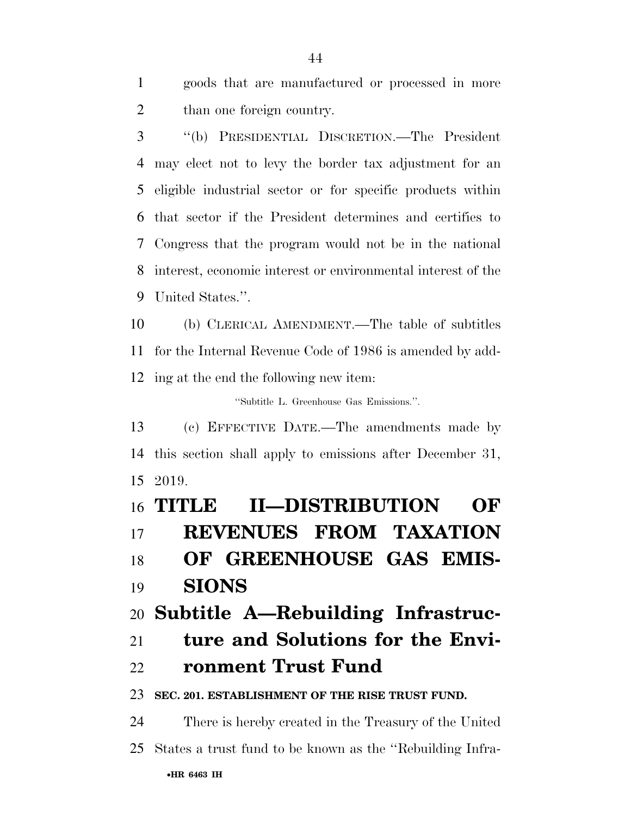goods that are manufactured or processed in more than one foreign country.

 ''(b) PRESIDENTIAL DISCRETION.—The President may elect not to levy the border tax adjustment for an eligible industrial sector or for specific products within that sector if the President determines and certifies to Congress that the program would not be in the national interest, economic interest or environmental interest of the United States.''.

 (b) CLERICAL AMENDMENT.—The table of subtitles for the Internal Revenue Code of 1986 is amended by add-ing at the end the following new item:

''Subtitle L. Greenhouse Gas Emissions.''.

 (c) EFFECTIVE DATE.—The amendments made by this section shall apply to emissions after December 31, 2019.

 **TITLE II—DISTRIBUTION OF REVENUES FROM TAXATION OF GREENHOUSE GAS EMIS- SIONS Subtitle A—Rebuilding Infrastruc- ture and Solutions for the Envi- ronment Trust Fund SEC. 201. ESTABLISHMENT OF THE RISE TRUST FUND.**  There is hereby created in the Treasury of the United States a trust fund to be known as the ''Rebuilding Infra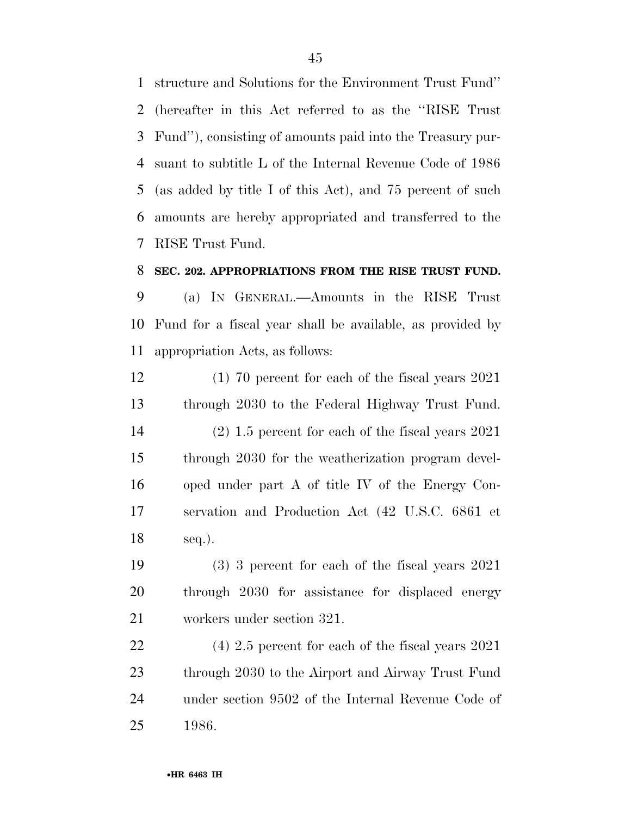structure and Solutions for the Environment Trust Fund'' (hereafter in this Act referred to as the ''RISE Trust Fund''), consisting of amounts paid into the Treasury pur- suant to subtitle L of the Internal Revenue Code of 1986 (as added by title I of this Act), and 75 percent of such amounts are hereby appropriated and transferred to the RISE Trust Fund.

#### **SEC. 202. APPROPRIATIONS FROM THE RISE TRUST FUND.**

 (a) IN GENERAL.—Amounts in the RISE Trust Fund for a fiscal year shall be available, as provided by appropriation Acts, as follows:

 (1) 70 percent for each of the fiscal years 2021 through 2030 to the Federal Highway Trust Fund. (2) 1.5 percent for each of the fiscal years 2021 through 2030 for the weatherization program devel- oped under part A of title IV of the Energy Con- servation and Production Act (42 U.S.C. 6861 et seq.).

 (3) 3 percent for each of the fiscal years 2021 through 2030 for assistance for displaced energy workers under section 321.

 (4) 2.5 percent for each of the fiscal years 2021 through 2030 to the Airport and Airway Trust Fund under section 9502 of the Internal Revenue Code of 1986.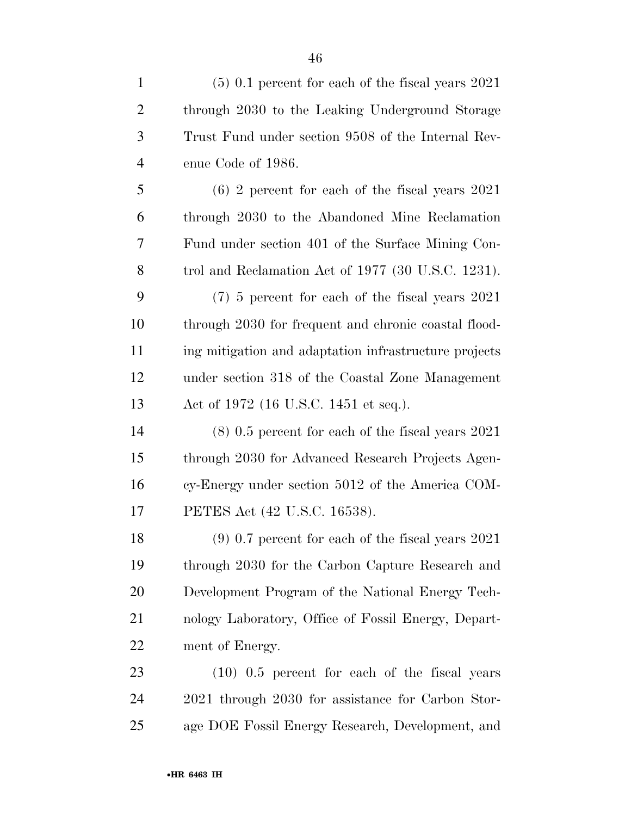| $\mathbf{1}$   | $(5)$ 0.1 percent for each of the fiscal years 2021   |
|----------------|-------------------------------------------------------|
| $\overline{2}$ | through 2030 to the Leaking Underground Storage       |
| 3              | Trust Fund under section 9508 of the Internal Rev-    |
| $\overline{4}$ | enue Code of 1986.                                    |
| 5              | $(6)$ 2 percent for each of the fiscal years 2021     |
| 6              | through 2030 to the Abandoned Mine Reclamation        |
| 7              | Fund under section 401 of the Surface Mining Con-     |
| 8              | trol and Reclamation Act of 1977 (30 U.S.C. 1231).    |
| 9              | $(7)$ 5 percent for each of the fiscal years $2021$   |
| 10             | through 2030 for frequent and chronic coastal flood-  |
| 11             | ing mitigation and adaptation infrastructure projects |
| 12             | under section 318 of the Coastal Zone Management      |
| 13             | Act of 1972 (16 U.S.C. 1451 et seq.).                 |
| 14             | $(8)$ 0.5 percent for each of the fiscal years 2021   |
| 15             | through 2030 for Advanced Research Projects Agen-     |
| 16             | cy-Energy under section 5012 of the America COM-      |
| 17             | PETES Act (42 U.S.C. 16538).                          |
| 18             | $(9)$ 0.7 percent for each of the fiscal years 2021   |
| 19             | through 2030 for the Carbon Capture Research and      |
| 20             | Development Program of the National Energy Tech-      |
| 21             | nology Laboratory, Office of Fossil Energy, Depart-   |
| 22             | ment of Energy.                                       |
| 23             | $(10)$ 0.5 percent for each of the fiscal years       |
| 24             | 2021 through 2030 for assistance for Carbon Stor-     |
| 25             | age DOE Fossil Energy Research, Development, and      |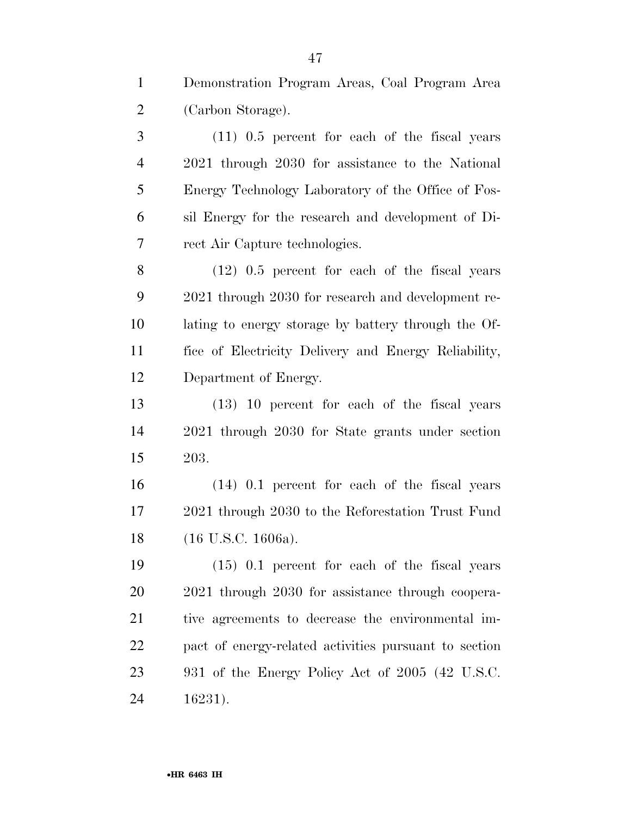Demonstration Program Areas, Coal Program Area (Carbon Storage).

 (11) 0.5 percent for each of the fiscal years 2021 through 2030 for assistance to the National Energy Technology Laboratory of the Office of Fos- sil Energy for the research and development of Di-rect Air Capture technologies.

 (12) 0.5 percent for each of the fiscal years 2021 through 2030 for research and development re- lating to energy storage by battery through the Of- fice of Electricity Delivery and Energy Reliability, Department of Energy.

 (13) 10 percent for each of the fiscal years 2021 through 2030 for State grants under section 203.

 (14) 0.1 percent for each of the fiscal years 2021 through 2030 to the Reforestation Trust Fund (16 U.S.C. 1606a).

 (15) 0.1 percent for each of the fiscal years 2021 through 2030 for assistance through coopera- tive agreements to decrease the environmental im- pact of energy-related activities pursuant to section 931 of the Energy Policy Act of 2005 (42 U.S.C. 16231).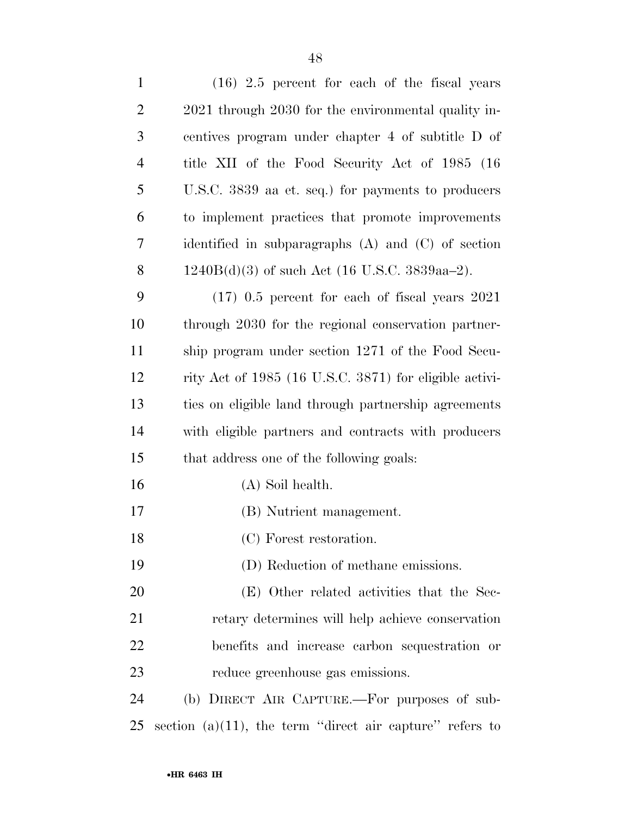| $\mathbf{1}$   | $(16)$ 2.5 percent for each of the fiscal years          |
|----------------|----------------------------------------------------------|
| $\overline{2}$ | 2021 through 2030 for the environmental quality in-      |
| 3              | centives program under chapter 4 of subtitle D of        |
| $\overline{4}$ | title XII of the Food Security Act of 1985 (16)          |
| 5              | U.S.C. 3839 aa et. seq.) for payments to producers       |
| 6              | to implement practices that promote improvements         |
| $\tau$         | identified in subparagraphs $(A)$ and $(C)$ of section   |
| 8              | $1240B(d)(3)$ of such Act (16 U.S.C. 3839aa–2).          |
| 9              | $(17)$ 0.5 percent for each of fiscal years 2021         |
| 10             | through 2030 for the regional conservation partner-      |
| 11             | ship program under section 1271 of the Food Secu-        |
| 12             | rity Act of 1985 (16 U.S.C. 3871) for eligible activi-   |
| 13             | ties on eligible land through partnership agreements     |
| 14             | with eligible partners and contracts with producers      |
| 15             | that address one of the following goals:                 |
| 16             | (A) Soil health.                                         |
| 17             | (B) Nutrient management.                                 |
| 18             | (C) Forest restoration.                                  |
| 19             | (D) Reduction of methane emissions.                      |
| 20             | (E) Other related activities that the Sec-               |
| 21             | retary determines will help achieve conservation         |
| 22             | benefits and increase carbon sequestration or            |
| 23             | reduce greenhouse gas emissions.                         |
| 24             | (b) DIRECT AIR CAPTURE.—For purposes of sub-             |
| 25             | section (a)(11), the term "direct air capture" refers to |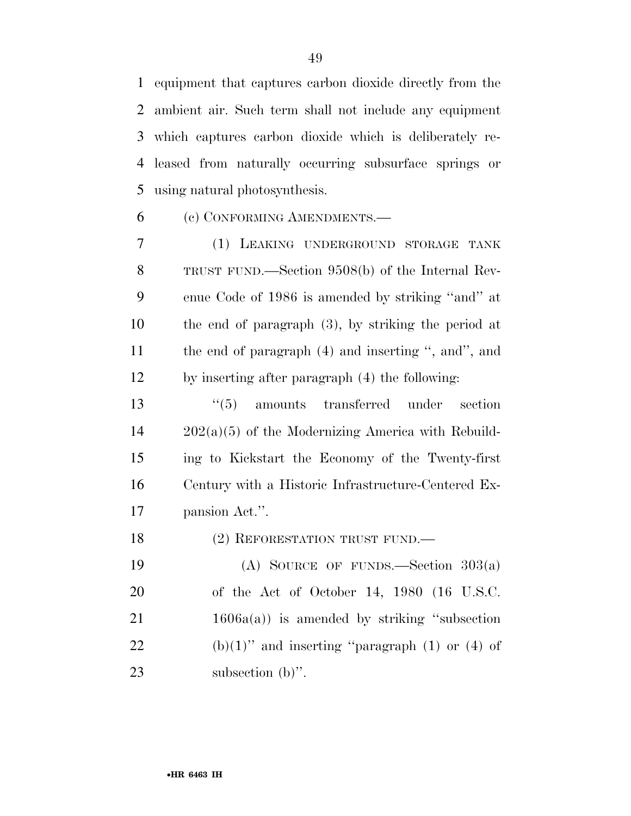equipment that captures carbon dioxide directly from the ambient air. Such term shall not include any equipment which captures carbon dioxide which is deliberately re- leased from naturally occurring subsurface springs or using natural photosynthesis.

(c) CONFORMING AMENDMENTS.—

 (1) LEAKING UNDERGROUND STORAGE TANK TRUST FUND.—Section 9508(b) of the Internal Rev- enue Code of 1986 is amended by striking ''and'' at the end of paragraph (3), by striking the period at the end of paragraph (4) and inserting '', and'', and by inserting after paragraph (4) the following:

 ''(5) amounts transferred under section 202(a)(5) of the Modernizing America with Rebuild- ing to Kickstart the Economy of the Twenty-first Century with a Historic Infrastructure-Centered Ex-pansion Act.''.

18 (2) REFORESTATION TRUST FUND.

 (A) SOURCE OF FUNDS.—Section 303(a) of the Act of October 14, 1980 (16 U.S.C. 21 1606a(a)) is amended by striking "subsection 22 (b)(1)'' and inserting "paragraph (1) or (4) of 23 subsection (b)".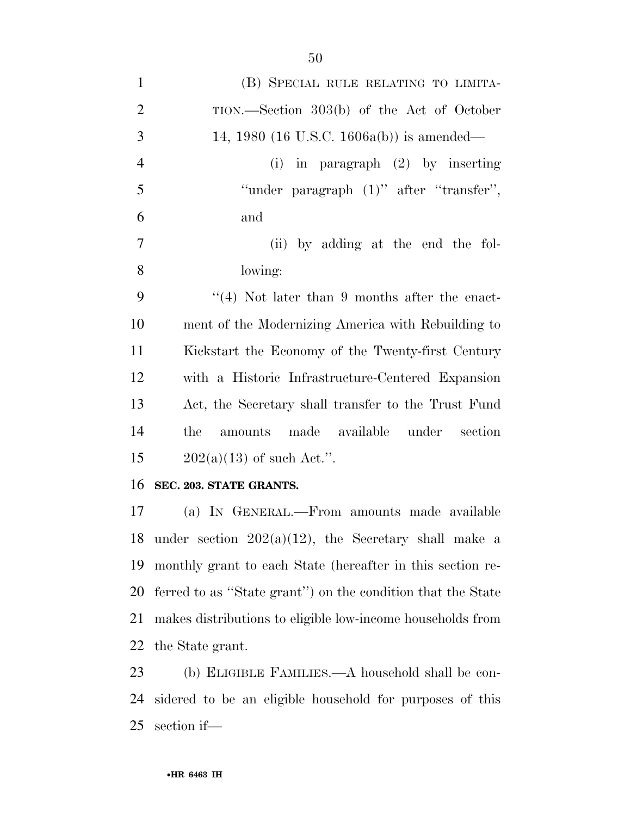| $\mathbf{1}$   | (B) SPECIAL RULE RELATING TO LIMITA-                        |
|----------------|-------------------------------------------------------------|
| $\overline{2}$ | TION.—Section 303(b) of the Act of October                  |
| 3              | 14, 1980 (16 U.S.C. 1606a(b)) is amended—                   |
| $\overline{4}$ | (i) in paragraph $(2)$ by inserting                         |
| 5              | "under paragraph (1)" after "transfer",                     |
| 6              | and                                                         |
| $\tau$         | (ii) by adding at the end the fol-                          |
| 8              | lowing:                                                     |
| 9              | $\lq(4)$ Not later than 9 months after the enact-           |
| 10             | ment of the Modernizing America with Rebuilding to          |
| 11             | Kickstart the Economy of the Twenty-first Century           |
| 12             | with a Historic Infrastructure-Centered Expansion           |
| 13             | Act, the Secretary shall transfer to the Trust Fund         |
| 14             | amounts made available under<br>section<br>the              |
| 15             | $202(a)(13)$ of such Act.".                                 |
| 16             | SEC. 203. STATE GRANTS.                                     |
| 17             | (a) IN GENERAL.—From amounts made available                 |
|                | 18 under section $202(a)(12)$ , the Secretary shall make a  |
| 19             | monthly grant to each State (hereafter in this section re-  |
| 20             | ferred to as "State grant") on the condition that the State |
| 21             | makes distributions to eligible low-income households from  |
| 22             | the State grant.                                            |
| 23             | (b) ELIGIBLE FAMILIES.—A household shall be con-            |
|                |                                                             |

 sidered to be an eligible household for purposes of this section if—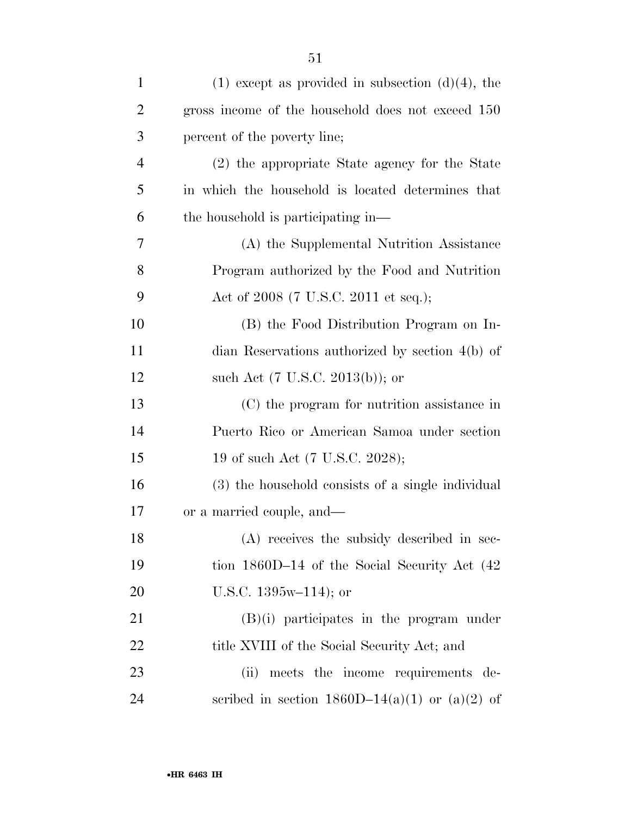| $\mathbf{1}$   | $(1)$ except as provided in subsection $(d)(4)$ , the |
|----------------|-------------------------------------------------------|
| $\overline{c}$ | gross income of the household does not exceed 150     |
| 3              | percent of the poverty line;                          |
| $\overline{4}$ | (2) the appropriate State agency for the State        |
| 5              | in which the household is located determines that     |
| 6              | the household is participating in—                    |
| 7              | (A) the Supplemental Nutrition Assistance             |
| 8              | Program authorized by the Food and Nutrition          |
| 9              | Act of 2008 (7 U.S.C. 2011 et seq.);                  |
| 10             | (B) the Food Distribution Program on In-              |
| 11             | dian Reservations authorized by section $4(b)$ of     |
| 12             | such Act $(7 \text{ U.S.C. } 2013(b))$ ; or           |
| 13             | (C) the program for nutrition assistance in           |
| 14             | Puerto Rico or American Samoa under section           |
| 15             | 19 of such Act (7 U.S.C. 2028);                       |
| 16             | (3) the household consists of a single individual     |
| 17             | or a married couple, and—                             |
| 18             | (A) receives the subsidy described in sec-            |
| 19             | tion $1860D-14$ of the Social Security Act $(42)$     |
| 20             | U.S.C. $1395w-114$ ; or                               |
| 21             | $(B)(i)$ participates in the program under            |
| 22             | title XVIII of the Social Security Act; and           |
| 23             | meets the income requirements de-<br>(ii)             |
| 24             | scribed in section $1860D-14(a)(1)$ or $(a)(2)$ of    |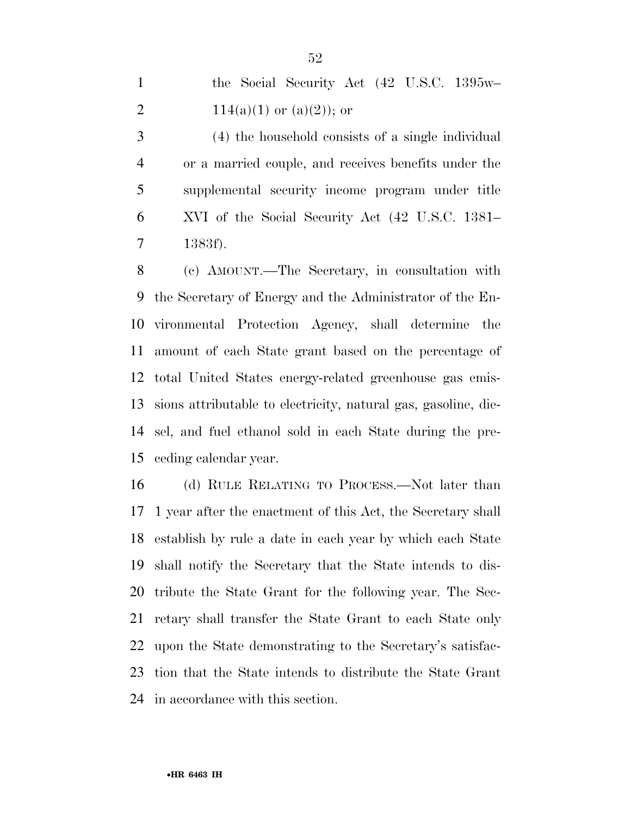| the Social Security Act (42 U.S.C. 1395w- |
|-------------------------------------------|
| $114(a)(1)$ or $(a)(2)$ ; or              |

 (4) the household consists of a single individual or a married couple, and receives benefits under the supplemental security income program under title XVI of the Social Security Act (42 U.S.C. 1381– 1383f).

 (c) AMOUNT.—The Secretary, in consultation with the Secretary of Energy and the Administrator of the En- vironmental Protection Agency, shall determine the amount of each State grant based on the percentage of total United States energy-related greenhouse gas emis- sions attributable to electricity, natural gas, gasoline, die- sel, and fuel ethanol sold in each State during the pre-ceding calendar year.

 (d) RULE RELATING TO PROCESS.—Not later than 1 year after the enactment of this Act, the Secretary shall establish by rule a date in each year by which each State shall notify the Secretary that the State intends to dis- tribute the State Grant for the following year. The Sec- retary shall transfer the State Grant to each State only upon the State demonstrating to the Secretary's satisfac- tion that the State intends to distribute the State Grant in accordance with this section.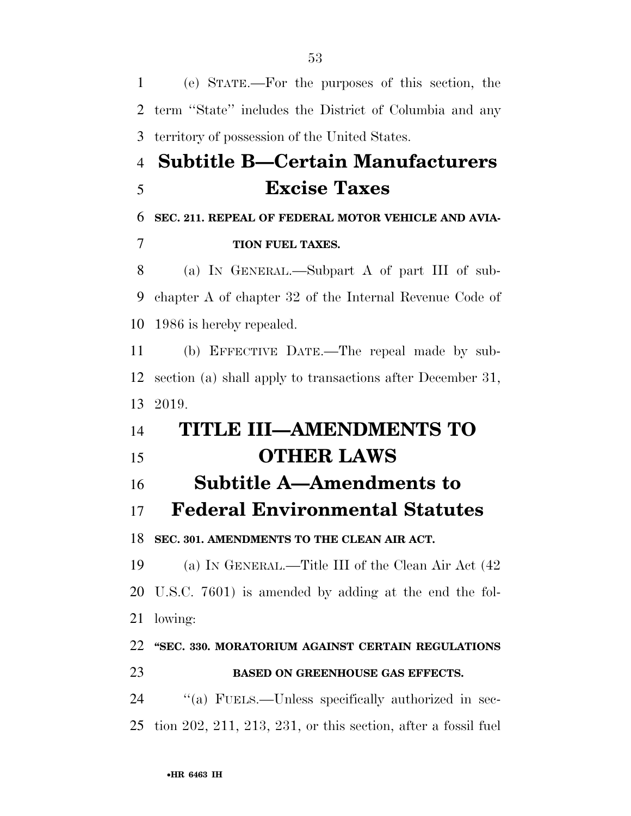(e) STATE.—For the purposes of this section, the term ''State'' includes the District of Columbia and any territory of possession of the United States. **Subtitle B—Certain Manufacturers Excise Taxes SEC. 211. REPEAL OF FEDERAL MOTOR VEHICLE AND AVIA- TION FUEL TAXES.**  (a) IN GENERAL.—Subpart A of part III of sub- chapter A of chapter 32 of the Internal Revenue Code of 1986 is hereby repealed. (b) EFFECTIVE DATE.—The repeal made by sub- section (a) shall apply to transactions after December 31, 2019. **TITLE III—AMENDMENTS TO OTHER LAWS Subtitle A—Amendments to Federal Environmental Statutes SEC. 301. AMENDMENTS TO THE CLEAN AIR ACT.**  (a) IN GENERAL.—Title III of the Clean Air Act (42 U.S.C. 7601) is amended by adding at the end the fol- lowing: **''SEC. 330. MORATORIUM AGAINST CERTAIN REGULATIONS BASED ON GREENHOUSE GAS EFFECTS.**  ''(a) FUELS.—Unless specifically authorized in sec-tion 202, 211, 213, 231, or this section, after a fossil fuel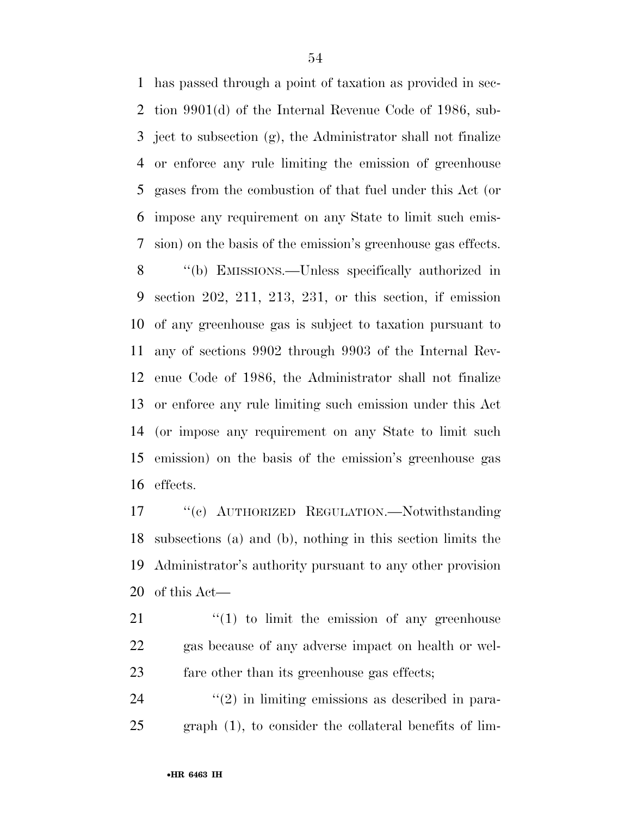has passed through a point of taxation as provided in sec- tion 9901(d) of the Internal Revenue Code of 1986, sub- ject to subsection (g), the Administrator shall not finalize or enforce any rule limiting the emission of greenhouse gases from the combustion of that fuel under this Act (or impose any requirement on any State to limit such emis-sion) on the basis of the emission's greenhouse gas effects.

 ''(b) EMISSIONS.—Unless specifically authorized in section 202, 211, 213, 231, or this section, if emission of any greenhouse gas is subject to taxation pursuant to any of sections 9902 through 9903 of the Internal Rev- enue Code of 1986, the Administrator shall not finalize or enforce any rule limiting such emission under this Act (or impose any requirement on any State to limit such emission) on the basis of the emission's greenhouse gas effects.

 ''(c) AUTHORIZED REGULATION.—Notwithstanding subsections (a) and (b), nothing in this section limits the Administrator's authority pursuant to any other provision of this Act—

 ''(1) to limit the emission of any greenhouse gas because of any adverse impact on health or wel-fare other than its greenhouse gas effects;

  $(2)$  in limiting emissions as described in para-graph (1), to consider the collateral benefits of lim-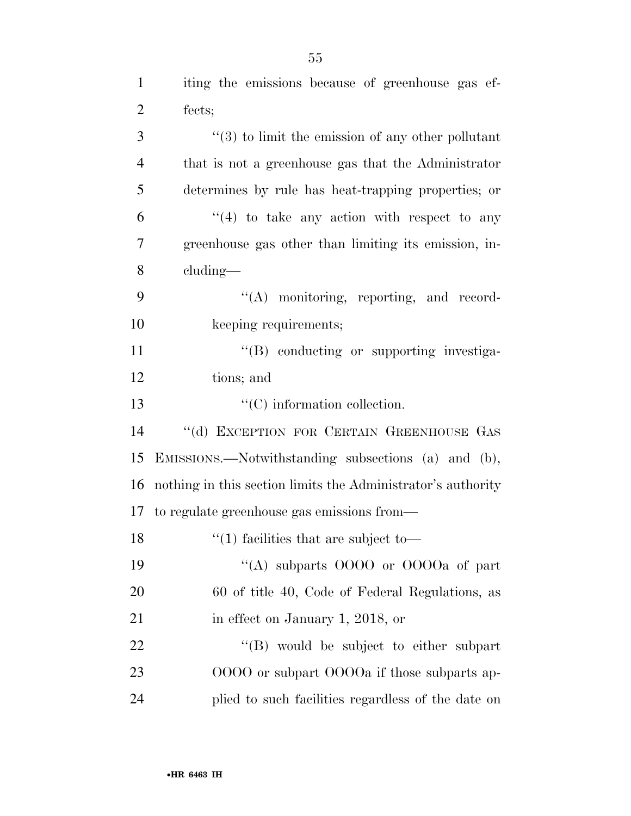| $\mathbf{1}$   | iting the emissions because of greenhouse gas ef-             |
|----------------|---------------------------------------------------------------|
| $\overline{2}$ | fects;                                                        |
| 3              | $\cdot\cdot$ (3) to limit the emission of any other pollutant |
| $\overline{4}$ | that is not a greenhouse gas that the Administrator           |
| 5              | determines by rule has heat-trapping properties; or           |
| 6              | $\cdot$ (4) to take any action with respect to any            |
| 7              | greenhouse gas other than limiting its emission, in-          |
| 8              | cluding—                                                      |
| 9              | $\lq\lq$ monitoring, reporting, and record-                   |
| 10             | keeping requirements;                                         |
| 11             | "(B) conducting or supporting investiga-                      |
| 12             | tions; and                                                    |
| 13             | $\lq\lq$ (C) information collection.                          |
| 14             | "(d) EXCEPTION FOR CERTAIN GREENHOUSE GAS                     |
| 15             | EMISSIONS.—Notwithstanding subsections (a) and (b),           |
| 16             | nothing in this section limits the Administrator's authority  |
| 17             | to regulate greenhouse gas emissions from—                    |
| 18             | $\lq(1)$ facilities that are subject to                       |
| 19             | "(A) subparts $0000$ or $0000a$ of part                       |
| 20             | 60 of title 40, Code of Federal Regulations, as               |
| 21             | in effect on January 1, 2018, or                              |
| 22             | "(B) would be subject to either subpart                       |
| 23             | 0000 or subpart 0000a if those subparts ap-                   |
| 24             | plied to such facilities regardless of the date on            |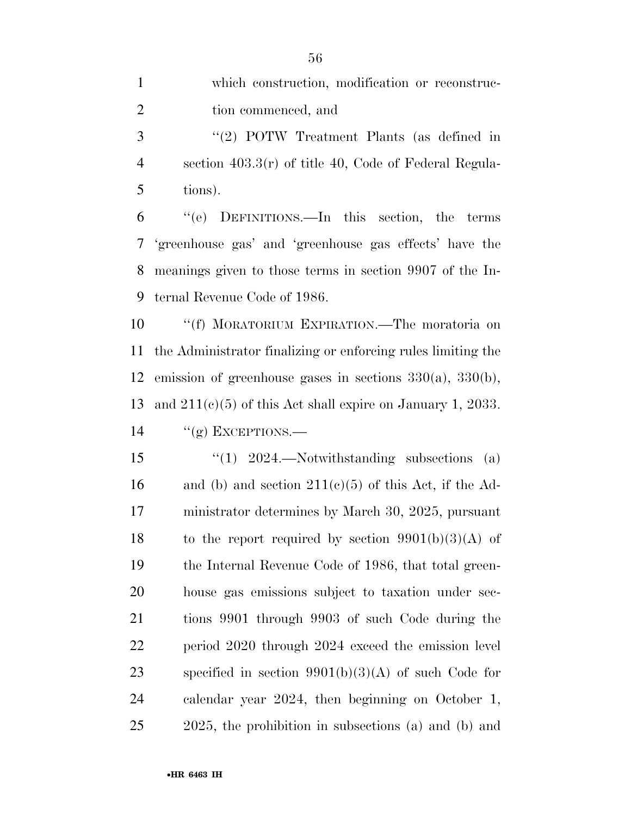which construction, modification or reconstruc-2 tion commenced, and ''(2) POTW Treatment Plants (as defined in section 403.3(r) of title 40, Code of Federal Regula-

tions).

 ''(e) DEFINITIONS.—In this section, the terms 'greenhouse gas' and 'greenhouse gas effects' have the meanings given to those terms in section 9907 of the In-ternal Revenue Code of 1986.

 ''(f) MORATORIUM EXPIRATION.—The moratoria on the Administrator finalizing or enforcing rules limiting the emission of greenhouse gases in sections 330(a), 330(b), and 211(c)(5) of this Act shall expire on January 1, 2033. "(g) EXCEPTIONS.—

 ''(1) 2024.—Notwithstanding subsections (a) 16 and (b) and section  $211(c)(5)$  of this Act, if the Ad- ministrator determines by March 30, 2025, pursuant 18 to the report required by section  $9901(b)(3)(A)$  of the Internal Revenue Code of 1986, that total green- house gas emissions subject to taxation under sec- tions 9901 through 9903 of such Code during the period 2020 through 2024 exceed the emission level specified in section 9901(b)(3)(A) of such Code for calendar year 2024, then beginning on October 1, 2025, the prohibition in subsections (a) and (b) and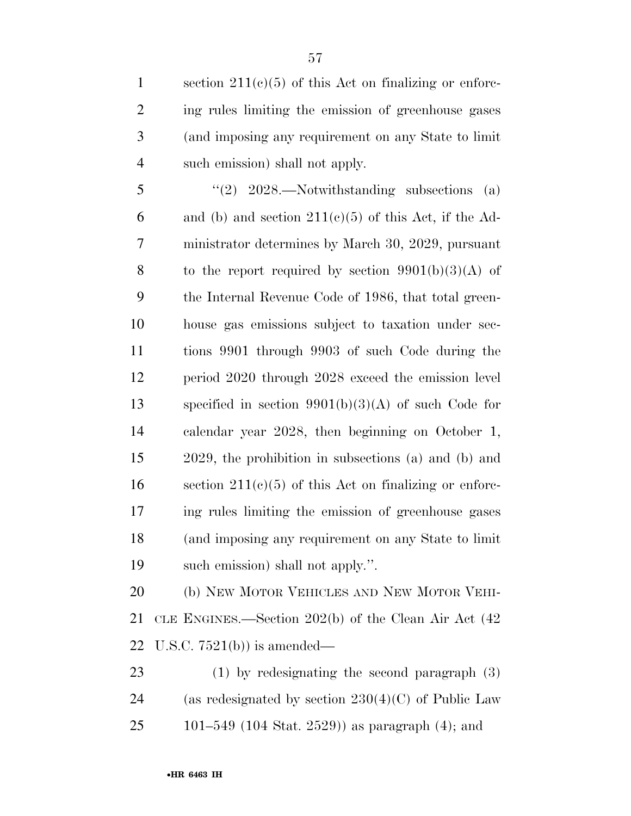1 section  $211(c)(5)$  of this Act on finalizing or enforc- ing rules limiting the emission of greenhouse gases (and imposing any requirement on any State to limit such emission) shall not apply.

 $\text{``(2)} \quad 2028.$ —Notwithstanding subsections (a) 6 and (b) and section  $211(c)(5)$  of this Act, if the Ad- ministrator determines by March 30, 2029, pursuant 8 to the report required by section  $9901(b)(3)(A)$  of the Internal Revenue Code of 1986, that total green- house gas emissions subject to taxation under sec- tions 9901 through 9903 of such Code during the period 2020 through 2028 exceed the emission level specified in section 9901(b)(3)(A) of such Code for calendar year 2028, then beginning on October 1, 2029, the prohibition in subsections (a) and (b) and 16 section  $211(c)(5)$  of this Act on finalizing or enforc- ing rules limiting the emission of greenhouse gases (and imposing any requirement on any State to limit such emission) shall not apply.''.

 (b) NEW MOTOR VEHICLES AND NEW MOTOR VEHI- CLE ENGINES.—Section 202(b) of the Clean Air Act (42 U.S.C. 7521(b)) is amended—

 (1) by redesignating the second paragraph (3) 24 (as redesignated by section  $230(4)(C)$  of Public Law 101–549 (104 Stat. 2529)) as paragraph (4); and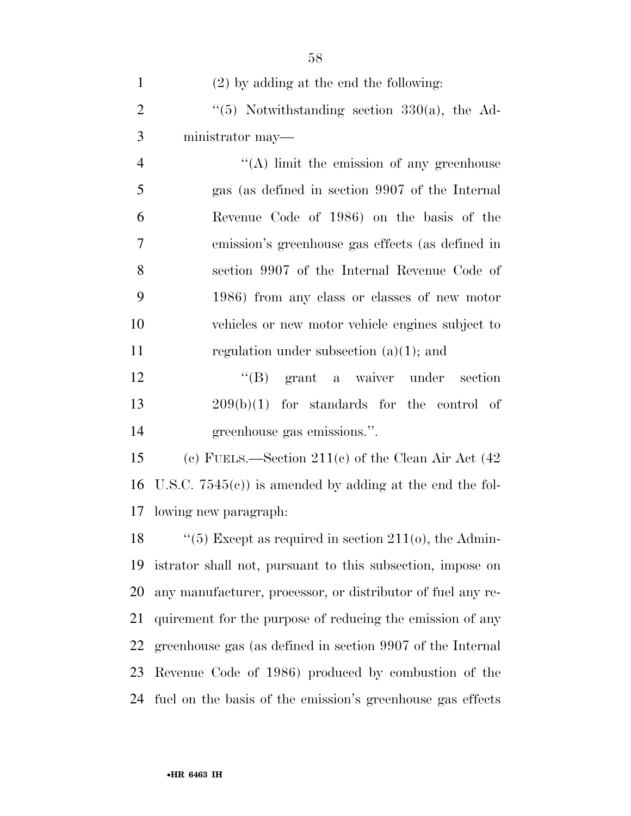| $\mathbf{1}$   | $(2)$ by adding at the end the following:                         |
|----------------|-------------------------------------------------------------------|
| $\overline{2}$ | $(5)$ Notwithstanding section 330(a), the Ad-                     |
| 3              | ministrator may-                                                  |
| $\overline{4}$ | $\lq\lq$ . In it the emission of any greenhouse                   |
| 5              | gas (as defined in section 9907 of the Internal                   |
| 6              | Revenue Code of 1986) on the basis of the                         |
| 7              | emission's greenhouse gas effects (as defined in                  |
| 8              | section 9907 of the Internal Revenue Code of                      |
| 9              | 1986) from any class or classes of new motor                      |
| 10             | vehicles or new motor vehicle engines subject to                  |
| 11             | regulation under subsection $(a)(1)$ ; and                        |
| 12             | "(B) grant a waiver under section                                 |
| 13             | $209(b)(1)$ for standards for the control of                      |
| 14             | greenhouse gas emissions.".                                       |
| 15             | (c) FUELS.—Section 211(c) of the Clean Air Act $(42)$             |
| 16             | U.S.C. $7545(e)$ is amended by adding at the end the fol-         |
|                | 17 lowing new paragraph:                                          |
|                | 18 $\frac{1}{5}$ Except as required in section 211(0), the Admin- |
| 19             | istrator shall not, pursuant to this subsection, impose on        |
| 20             | any manufacturer, processor, or distributor of fuel any re-       |
| 21             | quirement for the purpose of reducing the emission of any         |
| 22             | greenhouse gas (as defined in section 9907 of the Internal        |
| 23             | Revenue Code of 1986) produced by combustion of the               |
| 24             | fuel on the basis of the emission's greenhouse gas effects        |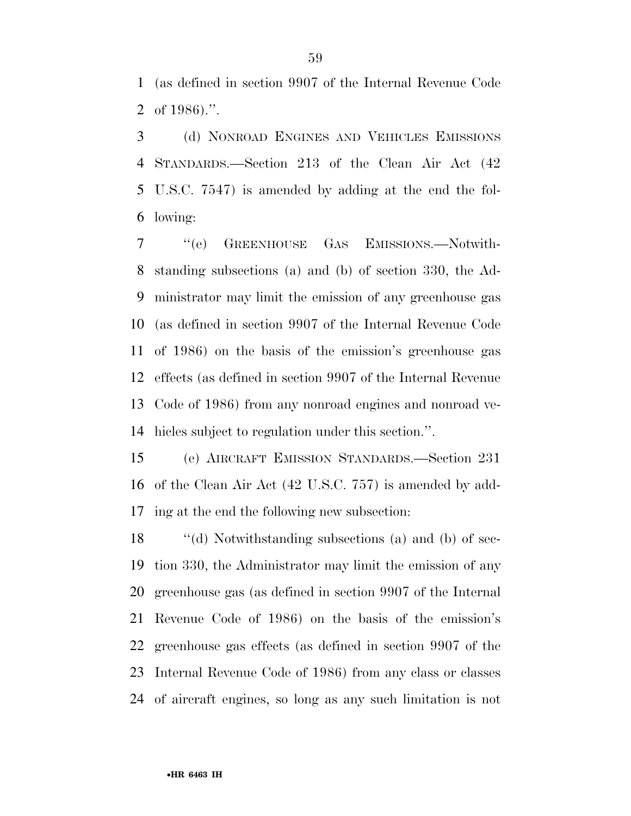(as defined in section 9907 of the Internal Revenue Code of 1986).''.

 (d) NONROAD ENGINES AND VEHICLES EMISSIONS STANDARDS.—Section 213 of the Clean Air Act (42 U.S.C. 7547) is amended by adding at the end the fol-lowing:

 ''(e) GREENHOUSE GAS EMISSIONS.—Notwith- standing subsections (a) and (b) of section 330, the Ad- ministrator may limit the emission of any greenhouse gas (as defined in section 9907 of the Internal Revenue Code of 1986) on the basis of the emission's greenhouse gas effects (as defined in section 9907 of the Internal Revenue Code of 1986) from any nonroad engines and nonroad ve-hicles subject to regulation under this section.''.

 (e) AIRCRAFT EMISSION STANDARDS.—Section 231 of the Clean Air Act (42 U.S.C. 757) is amended by add-ing at the end the following new subsection:

 ''(d) Notwithstanding subsections (a) and (b) of sec- tion 330, the Administrator may limit the emission of any greenhouse gas (as defined in section 9907 of the Internal Revenue Code of 1986) on the basis of the emission's greenhouse gas effects (as defined in section 9907 of the Internal Revenue Code of 1986) from any class or classes of aircraft engines, so long as any such limitation is not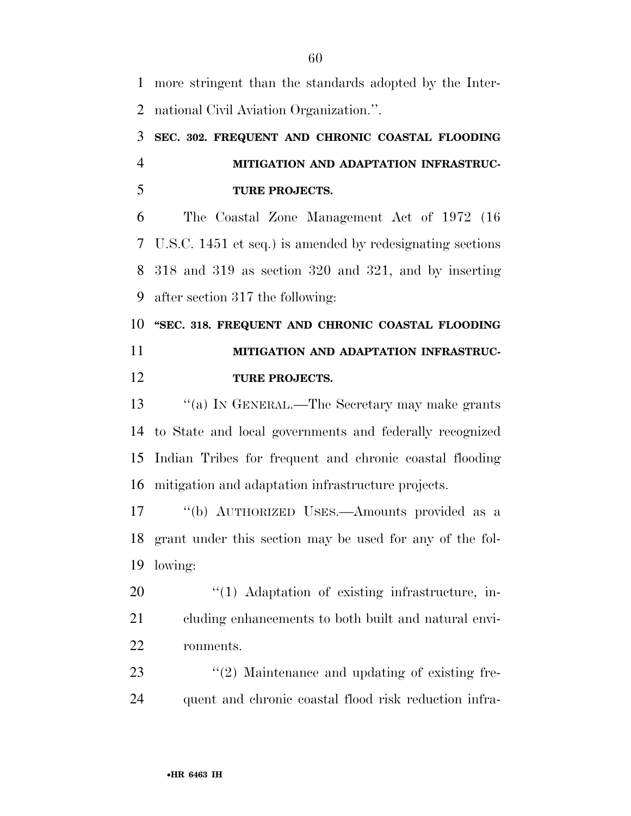more stringent than the standards adopted by the Inter-national Civil Aviation Organization.''.

## **SEC. 302. FREQUENT AND CHRONIC COASTAL FLOODING MITIGATION AND ADAPTATION INFRASTRUC-TURE PROJECTS.**

 The Coastal Zone Management Act of 1972 (16 U.S.C. 1451 et seq.) is amended by redesignating sections 318 and 319 as section 320 and 321, and by inserting after section 317 the following:

 **''SEC. 318. FREQUENT AND CHRONIC COASTAL FLOODING MITIGATION AND ADAPTATION INFRASTRUC-TURE PROJECTS.** 

 ''(a) IN GENERAL.—The Secretary may make grants to State and local governments and federally recognized Indian Tribes for frequent and chronic coastal flooding mitigation and adaptation infrastructure projects.

 ''(b) AUTHORIZED USES.—Amounts provided as a grant under this section may be used for any of the fol-lowing:

20  $\frac{1}{20}$  (1) Adaptation of existing infrastructure, in- cluding enhancements to both built and natural envi-ronments.

23 ''(2) Maintenance and updating of existing fre-quent and chronic coastal flood risk reduction infra-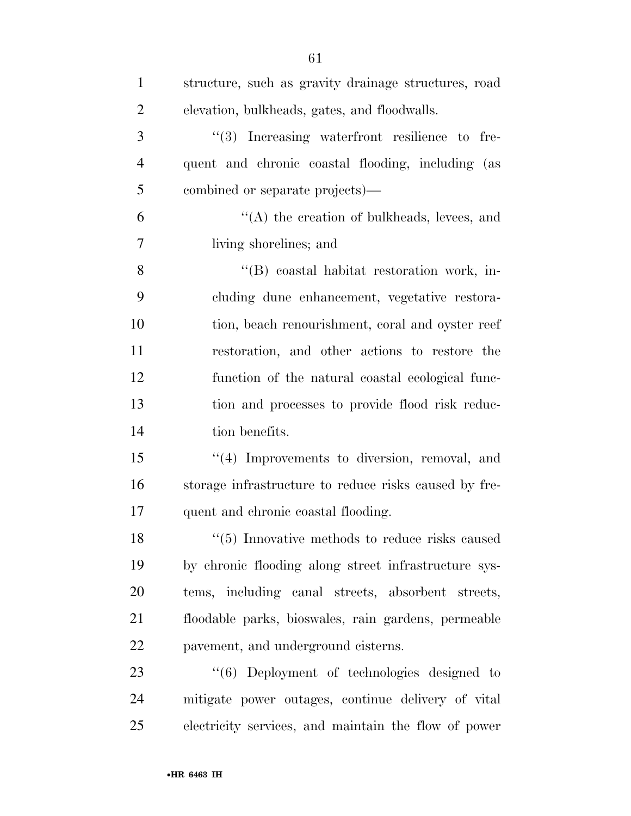| $\mathbf{1}$   | structure, such as gravity drainage structures, road  |
|----------------|-------------------------------------------------------|
| $\overline{2}$ | elevation, bulkheads, gates, and floodwalls.          |
| 3              | "(3) Increasing waterfront resilience to fre-         |
| $\overline{4}$ | quent and chronic coastal flooding, including (as     |
| 5              | combined or separate projects)—                       |
| 6              | $\lq\lq$ the creation of bulkheads, levees, and       |
| $\overline{7}$ | living shorelines; and                                |
| 8              | "(B) coastal habitat restoration work, in-            |
| 9              | cluding dune enhancement, vegetative restora-         |
| 10             | tion, beach renourishment, coral and oyster reef      |
| 11             | restoration, and other actions to restore the         |
| 12             | function of the natural coastal ecological func-      |
| 13             | tion and processes to provide flood risk reduc-       |
| 14             | tion benefits.                                        |
| 15             | "(4) Improvements to diversion, removal, and          |
| 16             | storage infrastructure to reduce risks caused by fre- |
| 17             | quent and chronic coastal flooding.                   |
| 18             | $\lq(5)$ Innovative methods to reduce risks caused    |
| 19             | by chronic flooding along street infrastructure sys-  |
| 20             | tems, including canal streets, absorbent streets,     |
| 21             | floodable parks, bioswales, rain gardens, permeable   |
| 22             | payement, and underground cisterns.                   |
| 23             | $\lq(6)$ Deployment of technologies designed to       |
| 24             | mitigate power outages, continue delivery of vital    |
| 25             | electricity services, and maintain the flow of power  |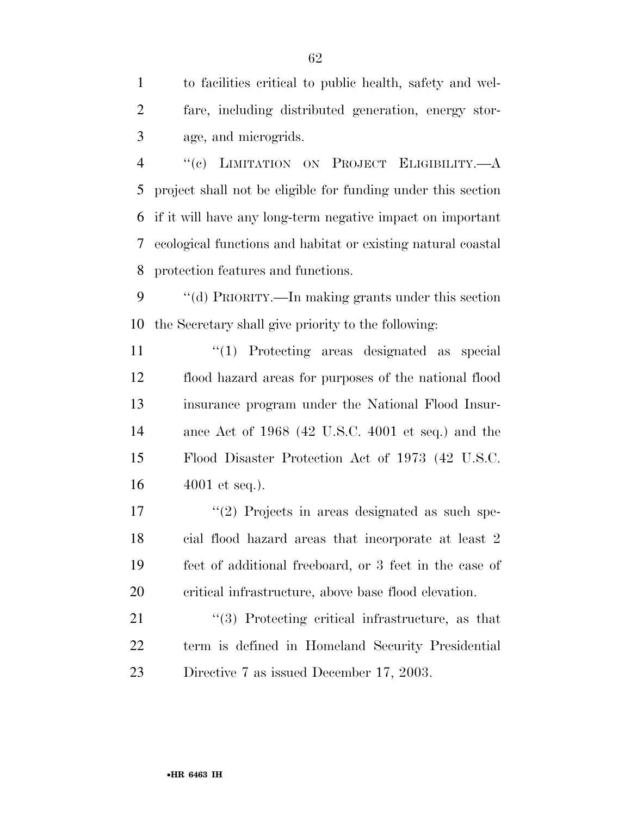to facilities critical to public health, safety and wel- fare, including distributed generation, energy stor-age, and microgrids.

 ''(c) LIMITATION ON PROJECT ELIGIBILITY.—A project shall not be eligible for funding under this section if it will have any long-term negative impact on important ecological functions and habitat or existing natural coastal protection features and functions.

 ''(d) PRIORITY.—In making grants under this section the Secretary shall give priority to the following:

 $\frac{1}{2}$  Trotecting areas designated as special flood hazard areas for purposes of the national flood insurance program under the National Flood Insur- ance Act of 1968 (42 U.S.C. 4001 et seq.) and the Flood Disaster Protection Act of 1973 (42 U.S.C. 4001 et seq.).

17 ''(2) Projects in areas designated as such spe- cial flood hazard areas that incorporate at least 2 feet of additional freeboard, or 3 feet in the case of critical infrastructure, above base flood elevation.

21 ''(3) Protecting critical infrastructure, as that term is defined in Homeland Security Presidential Directive 7 as issued December 17, 2003.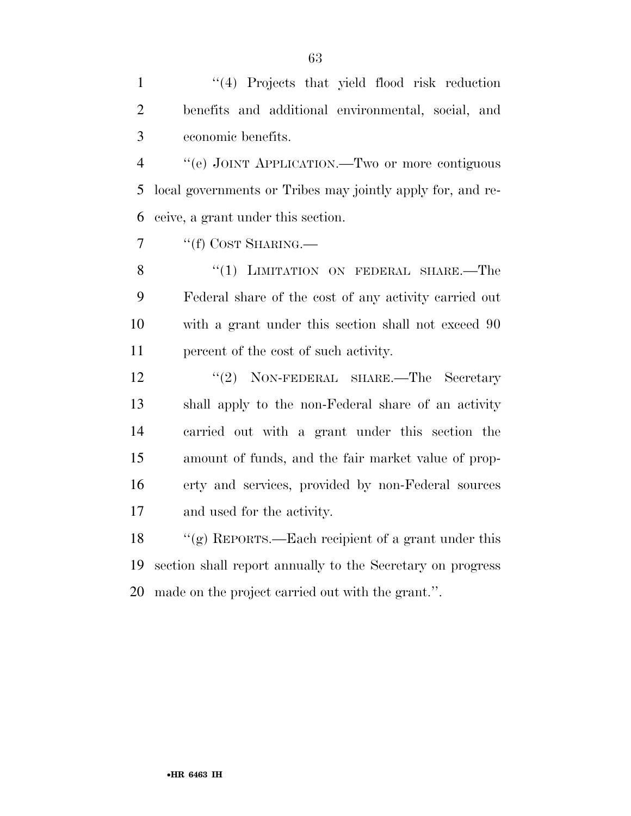1 ''(4) Projects that yield flood risk reduction benefits and additional environmental, social, and economic benefits.

 ''(e) JOINT APPLICATION.—Two or more contiguous local governments or Tribes may jointly apply for, and re-ceive, a grant under this section.

7 "(f) COST SHARING.—

8 "(1) LIMITATION ON FEDERAL SHARE.—The Federal share of the cost of any activity carried out with a grant under this section shall not exceed 90 percent of the cost of such activity.

12 ''(2) NON-FEDERAL SHARE.—The Secretary shall apply to the non-Federal share of an activity carried out with a grant under this section the amount of funds, and the fair market value of prop- erty and services, provided by non-Federal sources and used for the activity.

 ''(g) REPORTS.—Each recipient of a grant under this section shall report annually to the Secretary on progress made on the project carried out with the grant.''.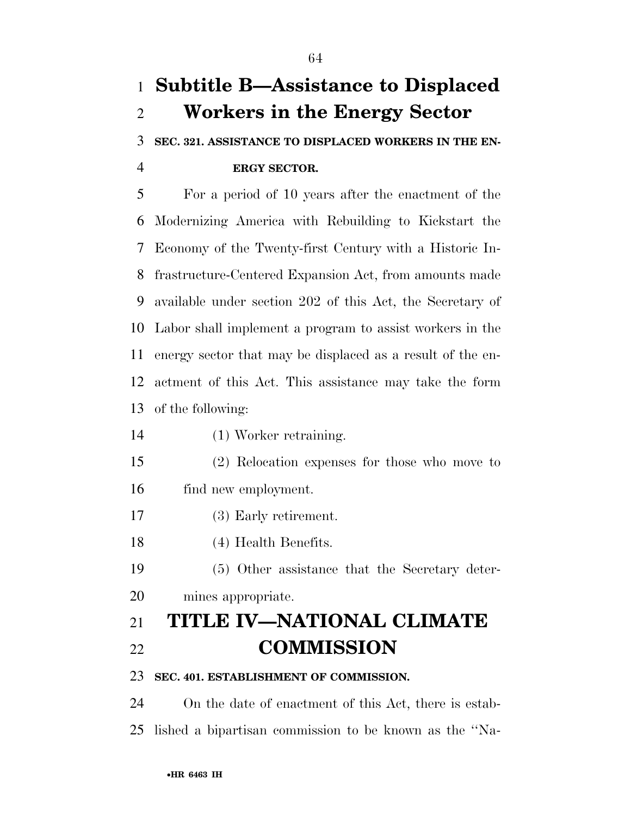# **Subtitle B—Assistance to Displaced Workers in the Energy Sector**

## **SEC. 321. ASSISTANCE TO DISPLACED WORKERS IN THE EN-ERGY SECTOR.**

 For a period of 10 years after the enactment of the Modernizing America with Rebuilding to Kickstart the Economy of the Twenty-first Century with a Historic In- frastructure-Centered Expansion Act, from amounts made available under section 202 of this Act, the Secretary of Labor shall implement a program to assist workers in the energy sector that may be displaced as a result of the en- actment of this Act. This assistance may take the form of the following:

- (1) Worker retraining.
- (2) Relocation expenses for those who move to find new employment.
- (3) Early retirement.
- (4) Health Benefits.
- (5) Other assistance that the Secretary deter-
- mines appropriate.

# **TITLE IV—NATIONAL CLIMATE COMMISSION**

#### **SEC. 401. ESTABLISHMENT OF COMMISSION.**

 On the date of enactment of this Act, there is estab-lished a bipartisan commission to be known as the ''Na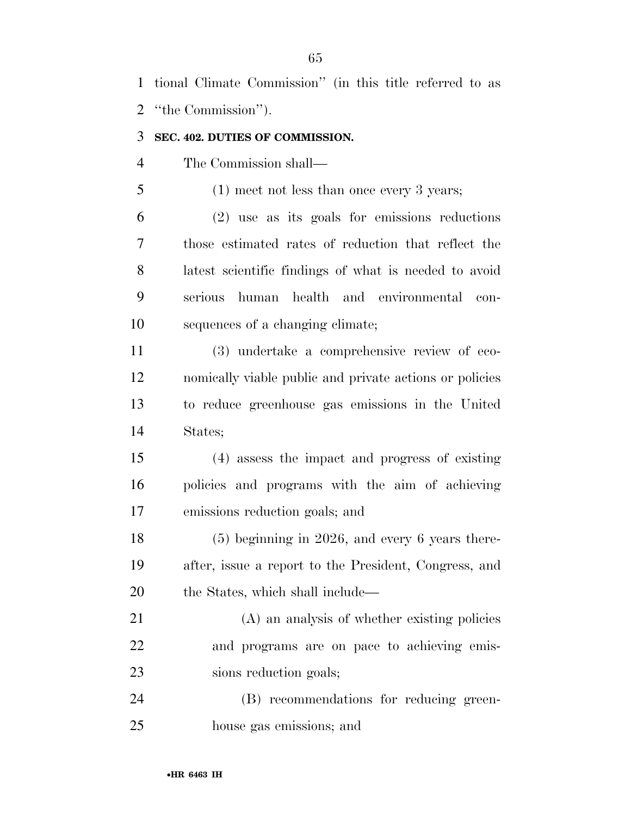tional Climate Commission'' (in this title referred to as ''the Commission'').

#### **SEC. 402. DUTIES OF COMMISSION.**

The Commission shall—

(1) meet not less than once every 3 years;

 (2) use as its goals for emissions reductions those estimated rates of reduction that reflect the latest scientific findings of what is needed to avoid serious human health and environmental con-sequences of a changing climate;

 (3) undertake a comprehensive review of eco- nomically viable public and private actions or policies to reduce greenhouse gas emissions in the United States;

 (4) assess the impact and progress of existing policies and programs with the aim of achieving emissions reduction goals; and

 (5) beginning in 2026, and every 6 years there- after, issue a report to the President, Congress, and 20 the States, which shall include—

 (A) an analysis of whether existing policies and programs are on pace to achieving emis-sions reduction goals;

 (B) recommendations for reducing green-house gas emissions; and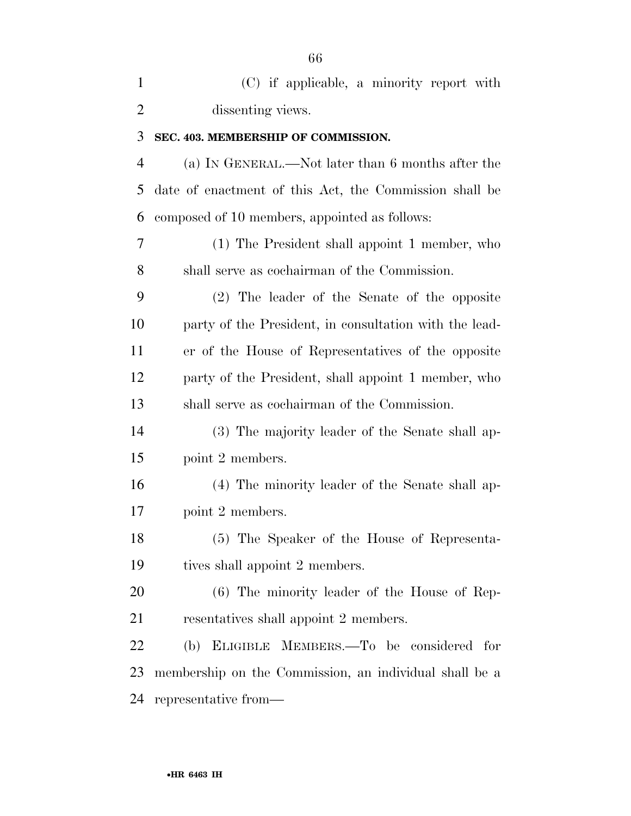| $\mathbf{1}$   | (C) if applicable, a minority report with              |
|----------------|--------------------------------------------------------|
| $\overline{2}$ | dissenting views.                                      |
| 3              | SEC. 403. MEMBERSHIP OF COMMISSION.                    |
| $\overline{4}$ | (a) IN GENERAL.—Not later than 6 months after the      |
| 5              | date of enactment of this Act, the Commission shall be |
| 6              | composed of 10 members, appointed as follows:          |
| $\overline{7}$ | (1) The President shall appoint 1 member, who          |
| 8              | shall serve as cochairman of the Commission.           |
| 9              | (2) The leader of the Senate of the opposite           |
| 10             | party of the President, in consultation with the lead- |
| 11             | er of the House of Representatives of the opposite     |
| 12             | party of the President, shall appoint 1 member, who    |
| 13             | shall serve as cochairman of the Commission.           |
| 14             | (3) The majority leader of the Senate shall ap-        |
| 15             | point 2 members.                                       |
| 16             | (4) The minority leader of the Senate shall ap-        |
| 17             | point 2 members.                                       |
| 18             | (5) The Speaker of the House of Representa-            |
| 19             | tives shall appoint 2 members.                         |
| 20             | $(6)$ The minority leader of the House of Rep-         |
| 21             | resentatives shall appoint 2 members.                  |
| 22             | (b) ELIGIBLE MEMBERS.—To be considered for             |
| 23             | membership on the Commission, an individual shall be a |
| 24             | representative from—                                   |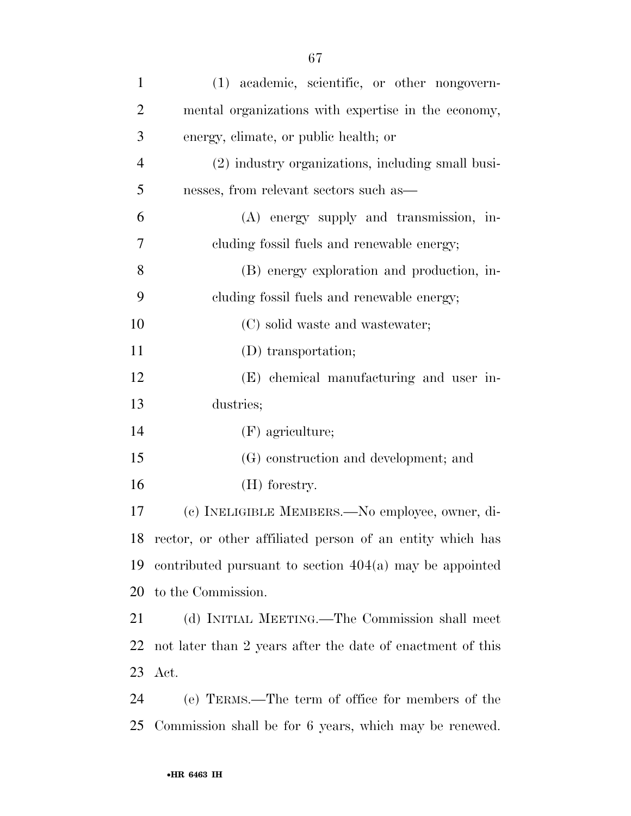| $\mathbf{1}$   | (1) academic, scientific, or other nongovern-             |
|----------------|-----------------------------------------------------------|
| $\overline{2}$ | mental organizations with expertise in the economy,       |
| 3              | energy, climate, or public health; or                     |
| $\overline{4}$ | (2) industry organizations, including small busi-         |
| 5              | nesses, from relevant sectors such as—                    |
| 6              | (A) energy supply and transmission, in-                   |
| 7              | cluding fossil fuels and renewable energy;                |
| 8              | (B) energy exploration and production, in-                |
| 9              | cluding fossil fuels and renewable energy;                |
| 10             | (C) solid waste and wastewater;                           |
| 11             | (D) transportation;                                       |
| 12             | (E) chemical manufacturing and user in-                   |
| 13             | dustries;                                                 |
| 14             | $(F)$ agriculture;                                        |
| 15             | (G) construction and development; and                     |
| 16             | $(H)$ forestry.                                           |
| 17             | (c) INELIGIBLE MEMBERS.—No employee, owner, di-           |
| 18             | rector, or other affiliated person of an entity which has |
| 19             | contributed pursuant to section $404(a)$ may be appointed |
|                |                                                           |

 (d) INITIAL MEETING.—The Commission shall meet not later than 2 years after the date of enactment of this Act.

 (e) TERMS.—The term of office for members of the Commission shall be for 6 years, which may be renewed.

to the Commission.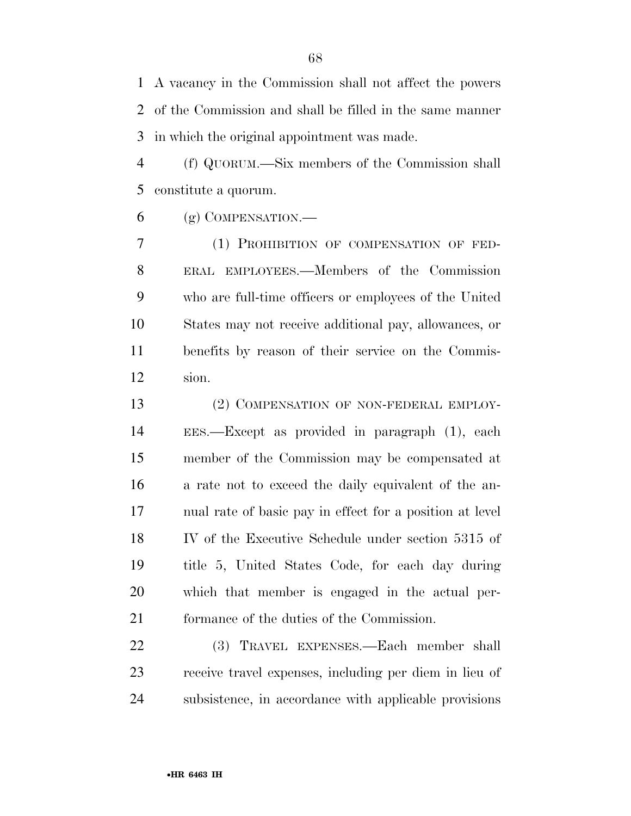A vacancy in the Commission shall not affect the powers of the Commission and shall be filled in the same manner in which the original appointment was made.

 (f) QUORUM.—Six members of the Commission shall constitute a quorum.

(g) COMPENSATION.—

 (1) PROHIBITION OF COMPENSATION OF FED- ERAL EMPLOYEES.—Members of the Commission who are full-time officers or employees of the United States may not receive additional pay, allowances, or benefits by reason of their service on the Commis-sion.

13 (2) COMPENSATION OF NON-FEDERAL EMPLOY- EES.—Except as provided in paragraph (1), each member of the Commission may be compensated at a rate not to exceed the daily equivalent of the an- nual rate of basic pay in effect for a position at level IV of the Executive Schedule under section 5315 of title 5, United States Code, for each day during which that member is engaged in the actual per-formance of the duties of the Commission.

 (3) TRAVEL EXPENSES.—Each member shall receive travel expenses, including per diem in lieu of subsistence, in accordance with applicable provisions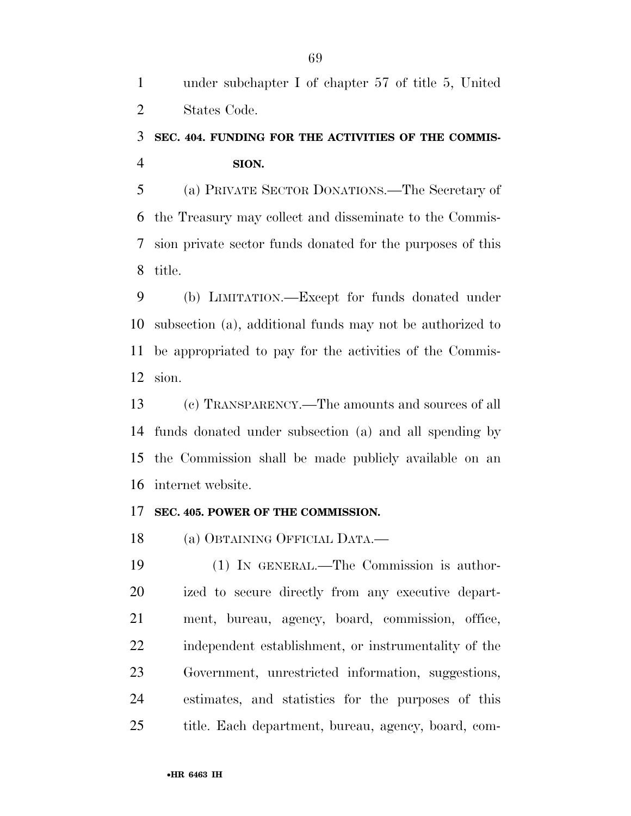under subchapter I of chapter 57 of title 5, United States Code.

## **SEC. 404. FUNDING FOR THE ACTIVITIES OF THE COMMIS-SION.**

 (a) PRIVATE SECTOR DONATIONS.—The Secretary of the Treasury may collect and disseminate to the Commis- sion private sector funds donated for the purposes of this title.

 (b) LIMITATION.—Except for funds donated under subsection (a), additional funds may not be authorized to be appropriated to pay for the activities of the Commis-sion.

 (c) TRANSPARENCY.—The amounts and sources of all funds donated under subsection (a) and all spending by the Commission shall be made publicly available on an internet website.

#### **SEC. 405. POWER OF THE COMMISSION.**

(a) OBTAINING OFFICIAL DATA.—

 (1) IN GENERAL.—The Commission is author- ized to secure directly from any executive depart- ment, bureau, agency, board, commission, office, independent establishment, or instrumentality of the Government, unrestricted information, suggestions, estimates, and statistics for the purposes of this title. Each department, bureau, agency, board, com-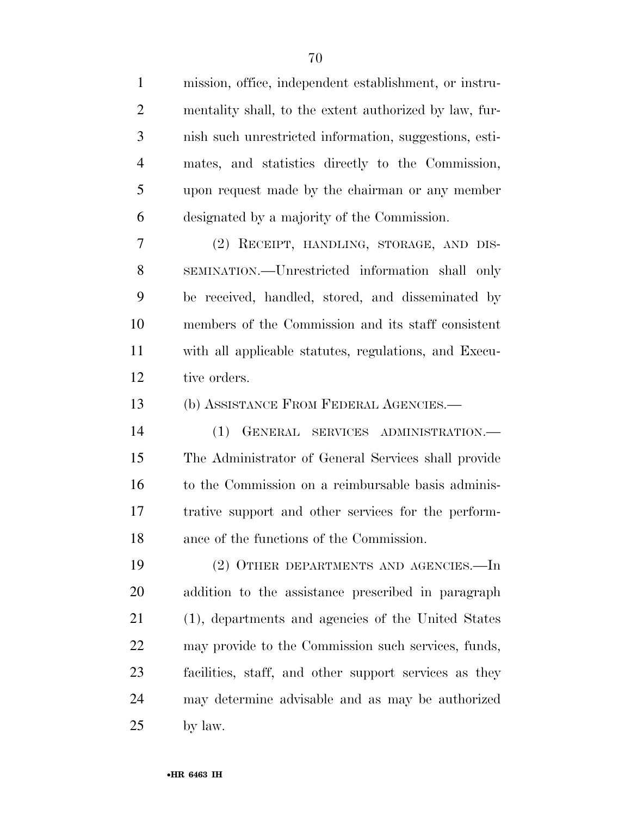mission, office, independent establishment, or instru- mentality shall, to the extent authorized by law, fur- nish such unrestricted information, suggestions, esti- mates, and statistics directly to the Commission, upon request made by the chairman or any member designated by a majority of the Commission. (2) RECEIPT, HANDLING, STORAGE, AND DIS- SEMINATION.—Unrestricted information shall only be received, handled, stored, and disseminated by members of the Commission and its staff consistent with all applicable statutes, regulations, and Execu- tive orders. (b) ASSISTANCE FROM FEDERAL AGENCIES.— (1) GENERAL SERVICES ADMINISTRATION.— The Administrator of General Services shall provide to the Commission on a reimbursable basis adminis- trative support and other services for the perform- ance of the functions of the Commission. (2) OTHER DEPARTMENTS AND AGENCIES.—In addition to the assistance prescribed in paragraph (1), departments and agencies of the United States may provide to the Commission such services, funds, facilities, staff, and other support services as they may determine advisable and as may be authorized by law.